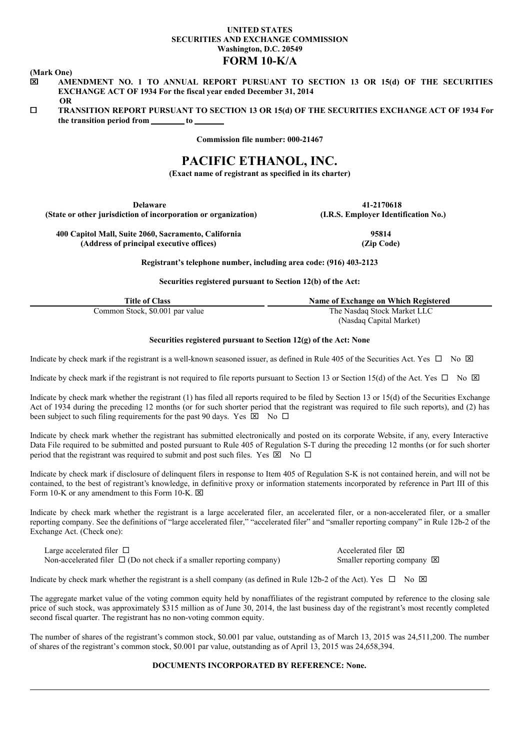## **UNITED STATES SECURITIES AND EXCHANGE COMMISSION Washington, D.C. 20549 FORM 10-K/A**

**(Mark One)**

- x **AMENDMENT NO. 1 TO ANNUAL REPORT PURSUANT TO SECTION 13 OR 15(d) OF THE SECURITIES EXCHANGE ACT OF 1934 For the fiscal year ended December 31, 2014 OR**
- ¨ **TRANSITION REPORT PURSUANT TO SECTION 13 OR 15(d) OF THE SECURITIES EXCHANGE ACT OF 1934 For the transition period from to**

**Commission file number: 000-21467**

# **PACIFIC ETHANOL, INC.**

**(Exact name of registrant as specified in its charter)**

**Delaware 41-2170618 (State or other jurisdiction of incorporation or organization) (I.R.S. Employer Identification No.)**

**400 Capitol Mall, Suite 2060, Sacramento, California 95814 (Address of principal executive offices) (Zip Code)**

**Registrant's telephone number, including area code: (916) 403-2123**

**Securities registered pursuant to Section 12(b) of the Act:**

| <b>Title of Class</b>           | Name of Exchange on Which Registered   |  |  |  |
|---------------------------------|----------------------------------------|--|--|--|
| Common Stock, \$0.001 par value | The Nasdaq Stock Market LLC            |  |  |  |
|                                 | $\alpha + 1$ $\alpha + 1$ $\alpha + 1$ |  |  |  |

(Nasdaq Capital Market)

## **Securities registered pursuant to Section 12(g) of the Act: None**

Indicate by check mark if the registrant is a well-known seasoned issuer, as defined in Rule 405 of the Securities Act. Yes  $\Box$  No  $\boxtimes$ 

Indicate by check mark if the registrant is not required to file reports pursuant to Section 13 or Section 15(d) of the Act. Yes  $\Box$  No  $\boxtimes$ 

Indicate by check mark whether the registrant (1) has filed all reports required to be filed by Section 13 or 15(d) of the Securities Exchange Act of 1934 during the preceding 12 months (or for such shorter period that the registrant was required to file such reports), and (2) has been subject to such filing requirements for the past 90 days. Yes  $\boxtimes$  No  $\Box$ 

Indicate by check mark whether the registrant has submitted electronically and posted on its corporate Website, if any, every Interactive Data File required to be submitted and posted pursuant to Rule 405 of Regulation S-T during the preceding 12 months (or for such shorter period that the registrant was required to submit and post such files. Yes  $\overline{\boxtimes}$  No  $\Box$ 

Indicate by check mark if disclosure of delinquent filers in response to Item 405 of Regulation S-K is not contained herein, and will not be contained, to the best of registrant's knowledge, in definitive proxy or information statements incorporated by reference in Part III of this Form 10-K or any amendment to this Form 10-K.  $\boxtimes$ 

Indicate by check mark whether the registrant is a large accelerated filer, an accelerated filer, or a non-accelerated filer, or a smaller reporting company. See the definitions of "large accelerated filer," "accelerated filer" and "smaller reporting company" in Rule 12b-2 of the Exchange Act. (Check one):

Large accelerated filer  $\Box$  Accelerated filer  $\Box$ Non-accelerated filer  $\Box$  (Do not check if a smaller reporting company) Smaller reporting company  $\boxtimes$ 

Indicate by check mark whether the registrant is a shell company (as defined in Rule 12b-2 of the Act). Yes  $\Box$  No  $\boxtimes$ 

The aggregate market value of the voting common equity held by nonaffiliates of the registrant computed by reference to the closing sale price of such stock, was approximately \$315 million as of June 30, 2014, the last business day of the registrant's most recently completed second fiscal quarter. The registrant has no non-voting common equity.

The number of shares of the registrant's common stock, \$0.001 par value, outstanding as of March 13, 2015 was 24,511,200. The number of shares of the registrant's common stock, \$0.001 par value, outstanding as of April 13, 2015 was 24,658,394.

## **DOCUMENTS INCORPORATED BY REFERENCE: None.**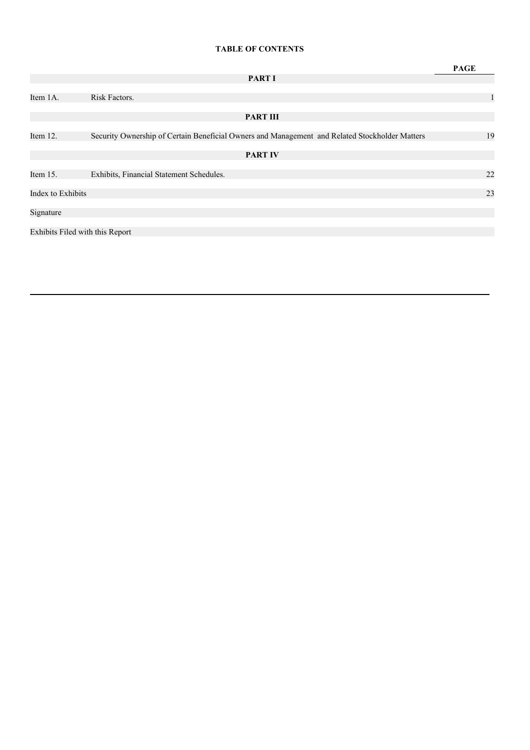## **TABLE OF CONTENTS**

|                                 |                                                                                                | <b>PAGE</b>  |
|---------------------------------|------------------------------------------------------------------------------------------------|--------------|
|                                 | <b>PART I</b>                                                                                  |              |
| Item 1A.                        | Risk Factors.                                                                                  | $\mathbf{1}$ |
|                                 | <b>PART III</b>                                                                                |              |
| Item 12.                        | Security Ownership of Certain Beneficial Owners and Management and Related Stockholder Matters | 19           |
|                                 | <b>PART IV</b>                                                                                 |              |
| Item 15.                        | Exhibits, Financial Statement Schedules.                                                       | 22           |
| Index to Exhibits               |                                                                                                | 23           |
| Signature                       |                                                                                                |              |
| Exhibits Filed with this Report |                                                                                                |              |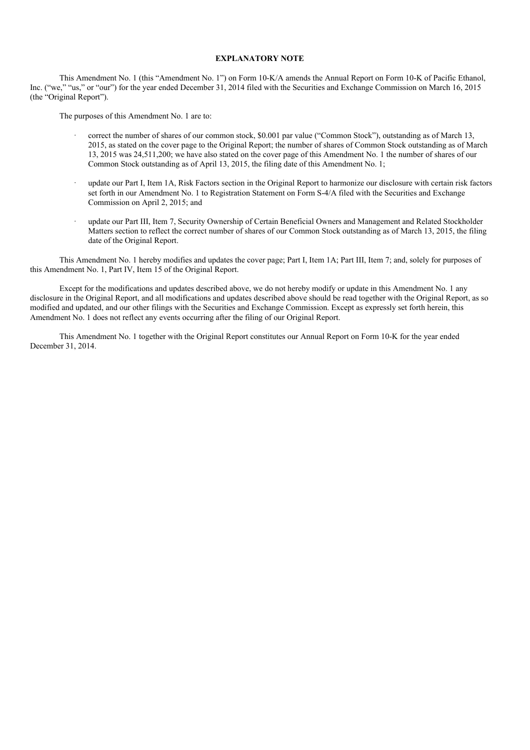## **EXPLANATORY NOTE**

This Amendment No. 1 (this "Amendment No. 1") on Form 10-K/A amends the Annual Report on Form 10-K of Pacific Ethanol, Inc. ("we," "us," or "our") for the year ended December 31, 2014 filed with the Securities and Exchange Commission on March 16, 2015 (the "Original Report").

The purposes of this Amendment No. 1 are to:

- · correct the number of shares of our common stock, \$0.001 par value ("Common Stock"), outstanding as of March 13, 2015, as stated on the cover page to the Original Report; the number of shares of Common Stock outstanding as of March 13, 2015 was 24,511,200; we have also stated on the cover page of this Amendment No. 1 the number of shares of our Common Stock outstanding as of April 13, 2015, the filing date of this Amendment No. 1;
- · update our Part I, Item 1A, Risk Factors section in the Original Report to harmonize our disclosure with certain risk factors set forth in our Amendment No. 1 to Registration Statement on Form S-4/A filed with the Securities and Exchange Commission on April 2, 2015; and
- update our Part III, Item 7, Security Ownership of Certain Beneficial Owners and Management and Related Stockholder Matters section to reflect the correct number of shares of our Common Stock outstanding as of March 13, 2015, the filing date of the Original Report.

This Amendment No. 1 hereby modifies and updates the cover page; Part I, Item 1A; Part III, Item 7; and, solely for purposes of this Amendment No. 1, Part IV, Item 15 of the Original Report.

Except for the modifications and updates described above, we do not hereby modify or update in this Amendment No. 1 any disclosure in the Original Report, and all modifications and updates described above should be read together with the Original Report, as so modified and updated, and our other filings with the Securities and Exchange Commission. Except as expressly set forth herein, this Amendment No. 1 does not reflect any events occurring after the filing of our Original Report.

This Amendment No. 1 together with the Original Report constitutes our Annual Report on Form 10-K for the year ended December 31, 2014.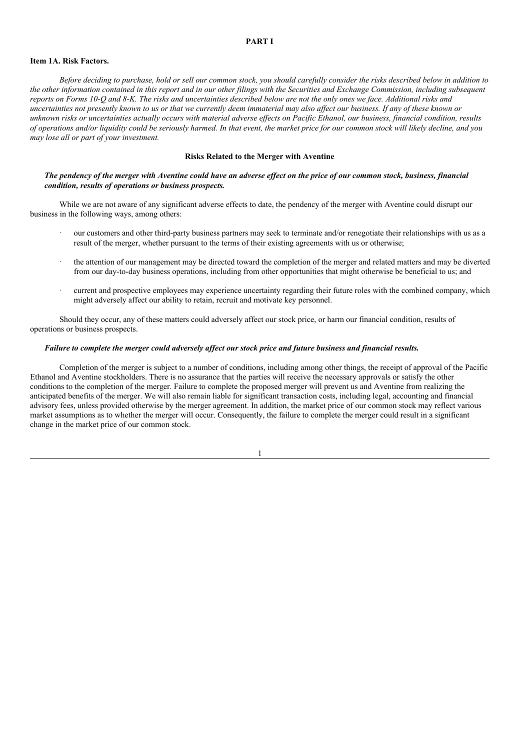### **PART I**

#### **Item 1A. Risk Factors.**

Before deciding to purchase, hold or sell our common stock, you should carefully consider the risks described below in addition to the other information contained in this report and in our other filings with the Securities and Exchange Commission, including subsequent reports on Forms 10-O and 8-K. The risks and uncertainties described below are not the only ones we face. Additional risks and uncertainties not presently known to us or that we currently deem immaterial may also affect our business. If any of these known or unknown risks or uncertainties actually occurs with material adverse effects on Pacific Ethanol, our business, financial condition, results of operations and/or liquidity could be seriously harmed. In that event, the market price for our common stock will likely decline, and you *may lose all or part of your investment.*

#### **Risks Related to the Merger with Aventine**

## The pendency of the merger with Aventine could have an adverse effect on the price of our common stock, business, financial *condition, results of operations or business prospects.*

While we are not aware of any significant adverse effects to date, the pendency of the merger with Aventine could disrupt our business in the following ways, among others:

- · our customers and other third-party business partners may seek to terminate and/or renegotiate their relationships with us as a result of the merger, whether pursuant to the terms of their existing agreements with us or otherwise;
- · the attention of our management may be directed toward the completion of the merger and related matters and may be diverted from our day-to-day business operations, including from other opportunities that might otherwise be beneficial to us; and
- current and prospective employees may experience uncertainty regarding their future roles with the combined company, which might adversely affect our ability to retain, recruit and motivate key personnel.

Should they occur, any of these matters could adversely affect our stock price, or harm our financial condition, results of operations or business prospects.

## Failure to complete the merger could adversely affect our stock price and future business and financial results.

Completion of the merger is subject to a number of conditions, including among other things, the receipt of approval of the Pacific Ethanol and Aventine stockholders. There is no assurance that the parties will receive the necessary approvals or satisfy the other conditions to the completion of the merger. Failure to complete the proposed merger will prevent us and Aventine from realizing the anticipated benefits of the merger. We will also remain liable for significant transaction costs, including legal, accounting and financial advisory fees, unless provided otherwise by the merger agreement. In addition, the market price of our common stock may reflect various market assumptions as to whether the merger will occur. Consequently, the failure to complete the merger could result in a significant change in the market price of our common stock.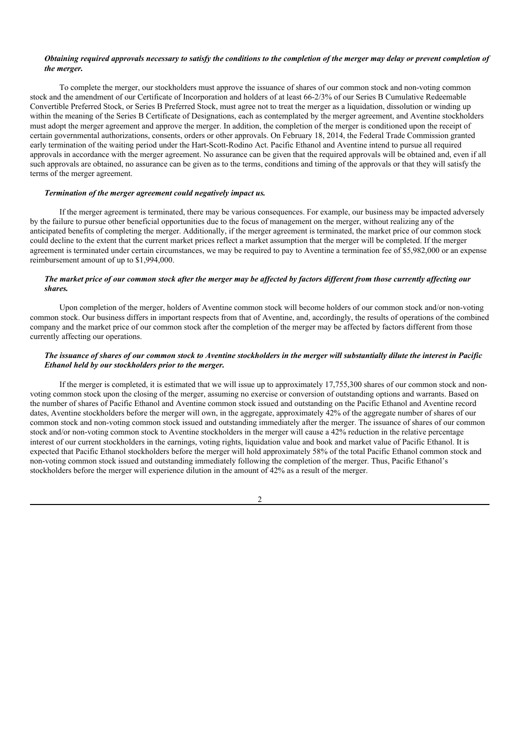### Obtaining required approvals necessary to satisfy the conditions to the completion of the merger may delay or prevent completion of *the merger.*

To complete the merger, our stockholders must approve the issuance of shares of our common stock and non-voting common stock and the amendment of our Certificate of Incorporation and holders of at least 66-2/3% of our Series B Cumulative Redeemable Convertible Preferred Stock, or Series B Preferred Stock, must agree not to treat the merger as a liquidation, dissolution or winding up within the meaning of the Series B Certificate of Designations, each as contemplated by the merger agreement, and Aventine stockholders must adopt the merger agreement and approve the merger. In addition, the completion of the merger is conditioned upon the receipt of certain governmental authorizations, consents, orders or other approvals. On February 18, 2014, the Federal Trade Commission granted early termination of the waiting period under the Hart-Scott-Rodino Act. Pacific Ethanol and Aventine intend to pursue all required approvals in accordance with the merger agreement. No assurance can be given that the required approvals will be obtained and, even if all such approvals are obtained, no assurance can be given as to the terms, conditions and timing of the approvals or that they will satisfy the terms of the merger agreement.

### *Termination of the merger agreement could negatively impact us.*

If the merger agreement is terminated, there may be various consequences. For example, our business may be impacted adversely by the failure to pursue other beneficial opportunities due to the focus of management on the merger, without realizing any of the anticipated benefits of completing the merger. Additionally, if the merger agreement is terminated, the market price of our common stock could decline to the extent that the current market prices reflect a market assumption that the merger will be completed. If the merger agreement is terminated under certain circumstances, we may be required to pay to Aventine a termination fee of \$5,982,000 or an expense reimbursement amount of up to \$1,994,000.

## The market price of our common stock after the merger may be affected by factors different from those currently affecting our *shares.*

Upon completion of the merger, holders of Aventine common stock will become holders of our common stock and/or non-voting common stock. Our business differs in important respects from that of Aventine, and, accordingly, the results of operations of the combined company and the market price of our common stock after the completion of the merger may be affected by factors different from those currently affecting our operations.

## The issuance of shares of our common stock to Aventine stockholders in the merger will substantially dilute the interest in Pacific *Ethanol held by our stockholders prior to the merger.*

If the merger is completed, it is estimated that we will issue up to approximately 17,755,300 shares of our common stock and nonvoting common stock upon the closing of the merger, assuming no exercise or conversion of outstanding options and warrants. Based on the number of shares of Pacific Ethanol and Aventine common stock issued and outstanding on the Pacific Ethanol and Aventine record dates, Aventine stockholders before the merger will own, in the aggregate, approximately 42% of the aggregate number of shares of our common stock and non-voting common stock issued and outstanding immediately after the merger. The issuance of shares of our common stock and/or non-voting common stock to Aventine stockholders in the merger will cause a 42% reduction in the relative percentage interest of our current stockholders in the earnings, voting rights, liquidation value and book and market value of Pacific Ethanol. It is expected that Pacific Ethanol stockholders before the merger will hold approximately 58% of the total Pacific Ethanol common stock and non-voting common stock issued and outstanding immediately following the completion of the merger. Thus, Pacific Ethanol's stockholders before the merger will experience dilution in the amount of 42% as a result of the merger.

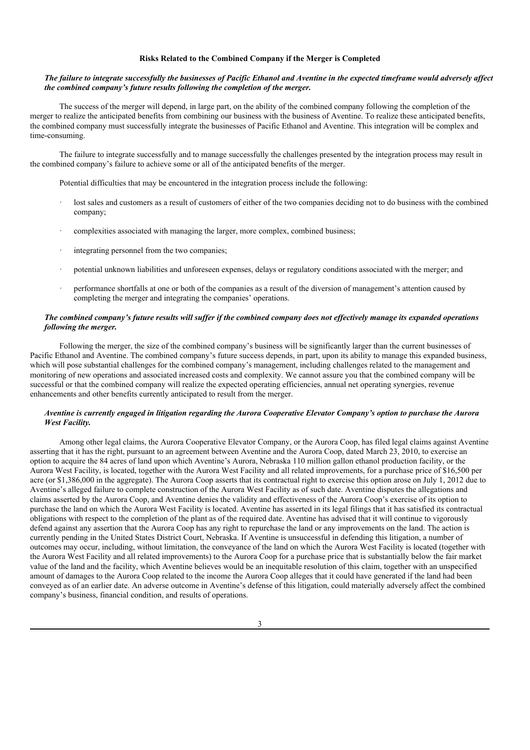#### **Risks Related to the Combined Company if the Merger is Completed**

### The failure to integrate successfully the businesses of Pacific Ethanol and Aventine in the expected timeframe would adversely affect *the combined company's future results following the completion of the merger.*

The success of the merger will depend, in large part, on the ability of the combined company following the completion of the merger to realize the anticipated benefits from combining our business with the business of Aventine. To realize these anticipated benefits, the combined company must successfully integrate the businesses of Pacific Ethanol and Aventine. This integration will be complex and time-consuming.

The failure to integrate successfully and to manage successfully the challenges presented by the integration process may result in the combined company's failure to achieve some or all of the anticipated benefits of the merger.

Potential difficulties that may be encountered in the integration process include the following:

- lost sales and customers as a result of customers of either of the two companies deciding not to do business with the combined company;
- · complexities associated with managing the larger, more complex, combined business;
- integrating personnel from the two companies:
- · potential unknown liabilities and unforeseen expenses, delays or regulatory conditions associated with the merger; and
- · performance shortfalls at one or both of the companies as a result of the diversion of management's attention caused by completing the merger and integrating the companies' operations.

## The combined company's future results will suffer if the combined company does not effectively manage its expanded operations *following the merger.*

Following the merger, the size of the combined company's business will be significantly larger than the current businesses of Pacific Ethanol and Aventine. The combined company's future success depends, in part, upon its ability to manage this expanded business, which will pose substantial challenges for the combined company's management, including challenges related to the management and monitoring of new operations and associated increased costs and complexity. We cannot assure you that the combined company will be successful or that the combined company will realize the expected operating efficiencies, annual net operating synergies, revenue enhancements and other benefits currently anticipated to result from the merger.

## Aventine is currently engaged in litigation regarding the Aurora Cooperative Elevator Company's option to purchase the Aurora *West Facility.*

Among other legal claims, the Aurora Cooperative Elevator Company, or the Aurora Coop, has filed legal claims against Aventine asserting that it has the right, pursuant to an agreement between Aventine and the Aurora Coop, dated March 23, 2010, to exercise an option to acquire the 84 acres of land upon which Aventine's Aurora, Nebraska 110 million gallon ethanol production facility, or the Aurora West Facility, is located, together with the Aurora West Facility and all related improvements, for a purchase price of \$16,500 per acre (or \$1,386,000 in the aggregate). The Aurora Coop asserts that its contractual right to exercise this option arose on July 1, 2012 due to Aventine's alleged failure to complete construction of the Aurora West Facility as of such date. Aventine disputes the allegations and claims asserted by the Aurora Coop, and Aventine denies the validity and effectiveness of the Aurora Coop's exercise of its option to purchase the land on which the Aurora West Facility is located. Aventine has asserted in its legal filings that it has satisfied its contractual obligations with respect to the completion of the plant as of the required date. Aventine has advised that it will continue to vigorously defend against any assertion that the Aurora Coop has any right to repurchase the land or any improvements on the land. The action is currently pending in the United States District Court, Nebraska. If Aventine is unsuccessful in defending this litigation, a number of outcomes may occur, including, without limitation, the conveyance of the land on which the Aurora West Facility is located (together with the Aurora West Facility and all related improvements) to the Aurora Coop for a purchase price that is substantially below the fair market value of the land and the facility, which Aventine believes would be an inequitable resolution of this claim, together with an unspecified amount of damages to the Aurora Coop related to the income the Aurora Coop alleges that it could have generated if the land had been conveyed as of an earlier date. An adverse outcome in Aventine's defense of this litigation, could materially adversely affect the combined company's business, financial condition, and results of operations.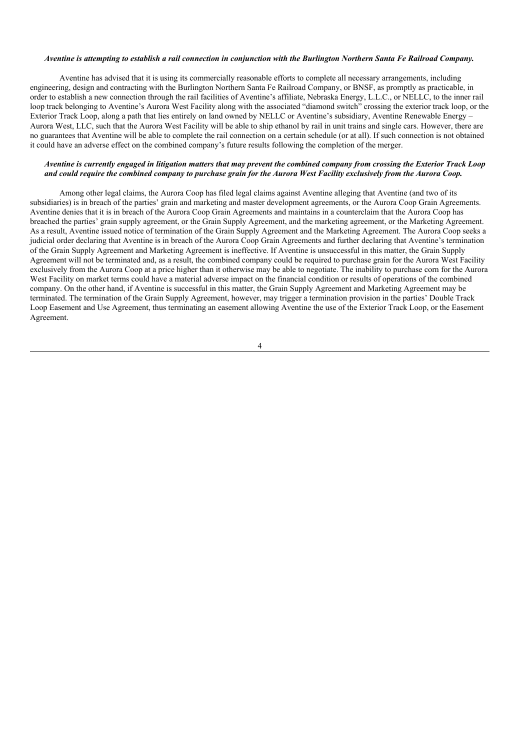#### Aventine is attempting to establish a rail connection in conjunction with the Burlington Northern Santa Fe Railroad Company.

Aventine has advised that it is using its commercially reasonable efforts to complete all necessary arrangements, including engineering, design and contracting with the Burlington Northern Santa Fe Railroad Company, or BNSF, as promptly as practicable, in order to establish a new connection through the rail facilities of Aventine's affiliate, Nebraska Energy, L.L.C., or NELLC, to the inner rail loop track belonging to Aventine's Aurora West Facility along with the associated "diamond switch" crossing the exterior track loop, or the Exterior Track Loop, along a path that lies entirely on land owned by NELLC or Aventine's subsidiary, Aventine Renewable Energy – Aurora West, LLC, such that the Aurora West Facility will be able to ship ethanol by rail in unit trains and single cars. However, there are no guarantees that Aventine will be able to complete the rail connection on a certain schedule (or at all). If such connection is not obtained it could have an adverse effect on the combined company's future results following the completion of the merger.

#### Aventine is currently engaged in litigation matters that may prevent the combined company from crossing the Exterior Track Loop and could require the combined company to purchase grain for the Aurora West Facility exclusively from the Aurora Coop.

Among other legal claims, the Aurora Coop has filed legal claims against Aventine alleging that Aventine (and two of its subsidiaries) is in breach of the parties' grain and marketing and master development agreements, or the Aurora Coop Grain Agreements. Aventine denies that it is in breach of the Aurora Coop Grain Agreements and maintains in a counterclaim that the Aurora Coop has breached the parties' grain supply agreement, or the Grain Supply Agreement, and the marketing agreement, or the Marketing Agreement. As a result, Aventine issued notice of termination of the Grain Supply Agreement and the Marketing Agreement. The Aurora Coop seeks a judicial order declaring that Aventine is in breach of the Aurora Coop Grain Agreements and further declaring that Aventine's termination of the Grain Supply Agreement and Marketing Agreement is ineffective. If Aventine is unsuccessful in this matter, the Grain Supply Agreement will not be terminated and, as a result, the combined company could be required to purchase grain for the Aurora West Facility exclusively from the Aurora Coop at a price higher than it otherwise may be able to negotiate. The inability to purchase corn for the Aurora West Facility on market terms could have a material adverse impact on the financial condition or results of operations of the combined company. On the other hand, if Aventine is successful in this matter, the Grain Supply Agreement and Marketing Agreement may be terminated. The termination of the Grain Supply Agreement, however, may trigger a termination provision in the parties' Double Track Loop Easement and Use Agreement, thus terminating an easement allowing Aventine the use of the Exterior Track Loop, or the Easement Agreement.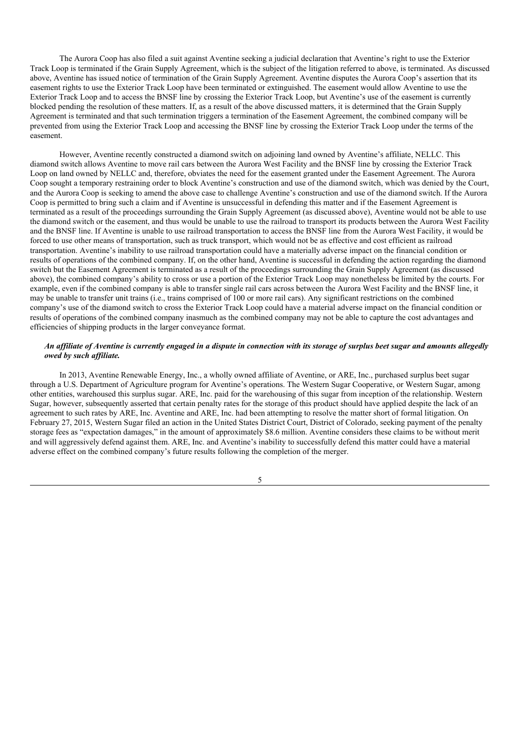The Aurora Coop has also filed a suit against Aventine seeking a judicial declaration that Aventine's right to use the Exterior Track Loop is terminated if the Grain Supply Agreement, which is the subject of the litigation referred to above, is terminated. As discussed above, Aventine has issued notice of termination of the Grain Supply Agreement. Aventine disputes the Aurora Coop's assertion that its easement rights to use the Exterior Track Loop have been terminated or extinguished. The easement would allow Aventine to use the Exterior Track Loop and to access the BNSF line by crossing the Exterior Track Loop, but Aventine's use of the easement is currently blocked pending the resolution of these matters. If, as a result of the above discussed matters, it is determined that the Grain Supply Agreement is terminated and that such termination triggers a termination of the Easement Agreement, the combined company will be prevented from using the Exterior Track Loop and accessing the BNSF line by crossing the Exterior Track Loop under the terms of the easement.

However, Aventine recently constructed a diamond switch on adjoining land owned by Aventine's affiliate, NELLC. This diamond switch allows Aventine to move rail cars between the Aurora West Facility and the BNSF line by crossing the Exterior Track Loop on land owned by NELLC and, therefore, obviates the need for the easement granted under the Easement Agreement. The Aurora Coop sought a temporary restraining order to block Aventine's construction and use of the diamond switch, which was denied by the Court, and the Aurora Coop is seeking to amend the above case to challenge Aventine's construction and use of the diamond switch. If the Aurora Coop is permitted to bring such a claim and if Aventine is unsuccessful in defending this matter and if the Easement Agreement is terminated as a result of the proceedings surrounding the Grain Supply Agreement (as discussed above), Aventine would not be able to use the diamond switch or the easement, and thus would be unable to use the railroad to transport its products between the Aurora West Facility and the BNSF line. If Aventine is unable to use railroad transportation to access the BNSF line from the Aurora West Facility, it would be forced to use other means of transportation, such as truck transport, which would not be as effective and cost efficient as railroad transportation. Aventine's inability to use railroad transportation could have a materially adverse impact on the financial condition or results of operations of the combined company. If, on the other hand, Aventine is successful in defending the action regarding the diamond switch but the Easement Agreement is terminated as a result of the proceedings surrounding the Grain Supply Agreement (as discussed above), the combined company's ability to cross or use a portion of the Exterior Track Loop may nonetheless be limited by the courts. For example, even if the combined company is able to transfer single rail cars across between the Aurora West Facility and the BNSF line, it may be unable to transfer unit trains (i.e., trains comprised of 100 or more rail cars). Any significant restrictions on the combined company's use of the diamond switch to cross the Exterior Track Loop could have a material adverse impact on the financial condition or results of operations of the combined company inasmuch as the combined company may not be able to capture the cost advantages and efficiencies of shipping products in the larger conveyance format.

## An affiliate of Aventine is currently engaged in a dispute in connection with its storage of surplus beet sugar and amounts allegedly *owed by such af iliate.*

In 2013, Aventine Renewable Energy, Inc., a wholly owned affiliate of Aventine, or ARE, Inc., purchased surplus beet sugar through a U.S. Department of Agriculture program for Aventine's operations. The Western Sugar Cooperative, or Western Sugar, among other entities, warehoused this surplus sugar. ARE, Inc. paid for the warehousing of this sugar from inception of the relationship. Western Sugar, however, subsequently asserted that certain penalty rates for the storage of this product should have applied despite the lack of an agreement to such rates by ARE, Inc. Aventine and ARE, Inc. had been attempting to resolve the matter short of formal litigation. On February 27, 2015, Western Sugar filed an action in the United States District Court, District of Colorado, seeking payment of the penalty storage fees as "expectation damages," in the amount of approximately \$8.6 million. Aventine considers these claims to be without merit and will aggressively defend against them. ARE, Inc. and Aventine's inability to successfully defend this matter could have a material adverse effect on the combined company's future results following the completion of the merger.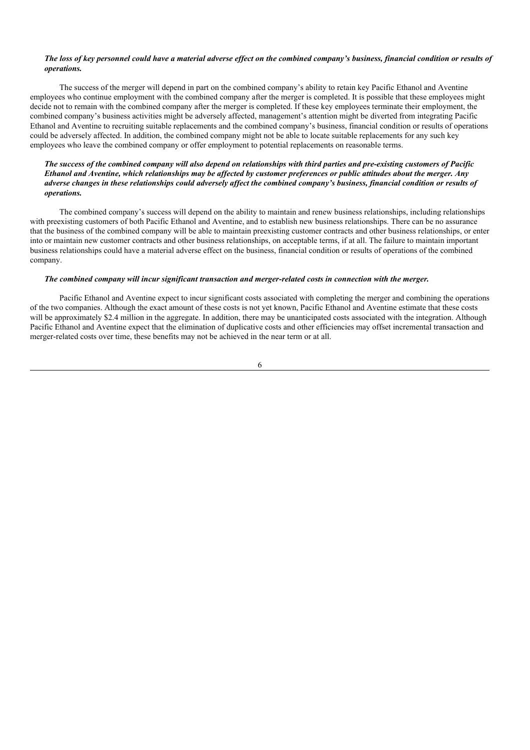## The loss of key personnel could have a material adverse effect on the combined company's business, financial condition or results of *operations.*

The success of the merger will depend in part on the combined company's ability to retain key Pacific Ethanol and Aventine employees who continue employment with the combined company after the merger is completed. It is possible that these employees might decide not to remain with the combined company after the merger is completed. If these key employees terminate their employment, the combined company's business activities might be adversely affected, management's attention might be diverted from integrating Pacific Ethanol and Aventine to recruiting suitable replacements and the combined company's business, financial condition or results of operations could be adversely affected. In addition, the combined company might not be able to locate suitable replacements for any such key employees who leave the combined company or offer employment to potential replacements on reasonable terms.

## The success of the combined company will also depend on relationships with third parties and pre-existing customers of Pacific Ethanol and Aventine, which relationships may be affected by customer preferences or public attitudes about the merger. Any adverse changes in these relationships could adversely affect the combined company's business, financial condition or results of *operations.*

The combined company's success will depend on the ability to maintain and renew business relationships, including relationships with preexisting customers of both Pacific Ethanol and Aventine, and to establish new business relationships. There can be no assurance that the business of the combined company will be able to maintain preexisting customer contracts and other business relationships, or enter into or maintain new customer contracts and other business relationships, on acceptable terms, if at all. The failure to maintain important business relationships could have a material adverse effect on the business, financial condition or results of operations of the combined company.

## *The combined company will incur significant transaction and merger-related costs in connection with the merger.*

Pacific Ethanol and Aventine expect to incur significant costs associated with completing the merger and combining the operations of the two companies. Although the exact amount of these costs is not yet known, Pacific Ethanol and Aventine estimate that these costs will be approximately \$2.4 million in the aggregate. In addition, there may be unanticipated costs associated with the integration. Although Pacific Ethanol and Aventine expect that the elimination of duplicative costs and other efficiencies may offset incremental transaction and merger-related costs over time, these benefits may not be achieved in the near term or at all.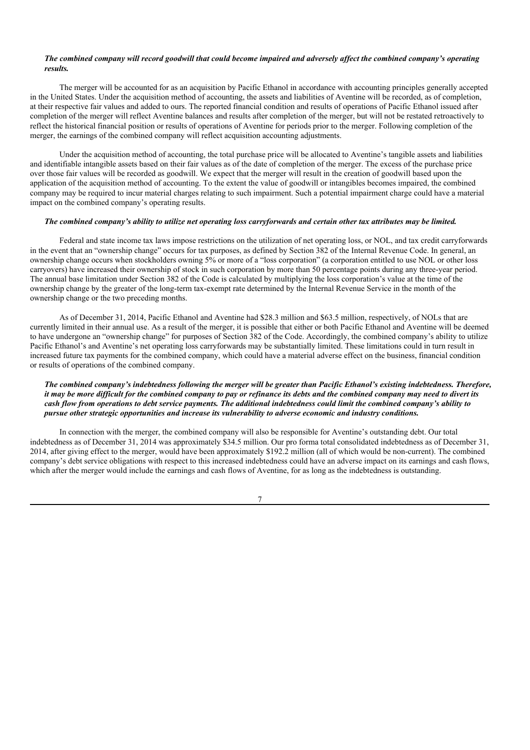### The combined company will record goodwill that could become impaired and adversely affect the combined company's operating *results.*

The merger will be accounted for as an acquisition by Pacific Ethanol in accordance with accounting principles generally accepted in the United States. Under the acquisition method of accounting, the assets and liabilities of Aventine will be recorded, as of completion, at their respective fair values and added to ours. The reported financial condition and results of operations of Pacific Ethanol issued after completion of the merger will reflect Aventine balances and results after completion of the merger, but will not be restated retroactively to reflect the historical financial position or results of operations of Aventine for periods prior to the merger. Following completion of the merger, the earnings of the combined company will reflect acquisition accounting adjustments.

Under the acquisition method of accounting, the total purchase price will be allocated to Aventine's tangible assets and liabilities and identifiable intangible assets based on their fair values as of the date of completion of the merger. The excess of the purchase price over those fair values will be recorded as goodwill. We expect that the merger will result in the creation of goodwill based upon the application of the acquisition method of accounting. To the extent the value of goodwill or intangibles becomes impaired, the combined company may be required to incur material charges relating to such impairment. Such a potential impairment charge could have a material impact on the combined company's operating results.

#### The combined company's ability to utilize net operating loss carryforwards and certain other tax attributes may be limited.

Federal and state income tax laws impose restrictions on the utilization of net operating loss, or NOL, and tax credit carryforwards in the event that an "ownership change" occurs for tax purposes, as defined by Section 382 of the Internal Revenue Code. In general, an ownership change occurs when stockholders owning 5% or more of a "loss corporation" (a corporation entitled to use NOL or other loss carryovers) have increased their ownership of stock in such corporation by more than 50 percentage points during any three-year period. The annual base limitation under Section 382 of the Code is calculated by multiplying the loss corporation's value at the time of the ownership change by the greater of the long-term tax-exempt rate determined by the Internal Revenue Service in the month of the ownership change or the two preceding months.

As of December 31, 2014, Pacific Ethanol and Aventine had \$28.3 million and \$63.5 million, respectively, of NOLs that are currently limited in their annual use. As a result of the merger, it is possible that either or both Pacific Ethanol and Aventine will be deemed to have undergone an "ownership change" for purposes of Section 382 of the Code. Accordingly, the combined company's ability to utilize Pacific Ethanol's and Aventine's net operating loss carryforwards may be substantially limited. These limitations could in turn result in increased future tax payments for the combined company, which could have a material adverse effect on the business, financial condition or results of operations of the combined company.

The combined company's indebtedness following the merger will be greater than Pacific Ethanol's existing indebtedness. Therefore, it may be more difficult for the combined company to pay or refinance its debts and the combined company may need to divert its cash flow from operations to debt service payments. The additional indebtedness could limit the combined company's ability to *pursue other strategic opportunities and increase its vulnerability to adverse economic and industry conditions.*

In connection with the merger, the combined company will also be responsible for Aventine's outstanding debt. Our total indebtedness as of December 31, 2014 was approximately \$34.5 million. Our pro forma total consolidated indebtedness as of December 31, 2014, after giving effect to the merger, would have been approximately \$192.2 million (all of which would be non-current). The combined company's debt service obligations with respect to this increased indebtedness could have an adverse impact on its earnings and cash flows, which after the merger would include the earnings and cash flows of Aventine, for as long as the indebtedness is outstanding.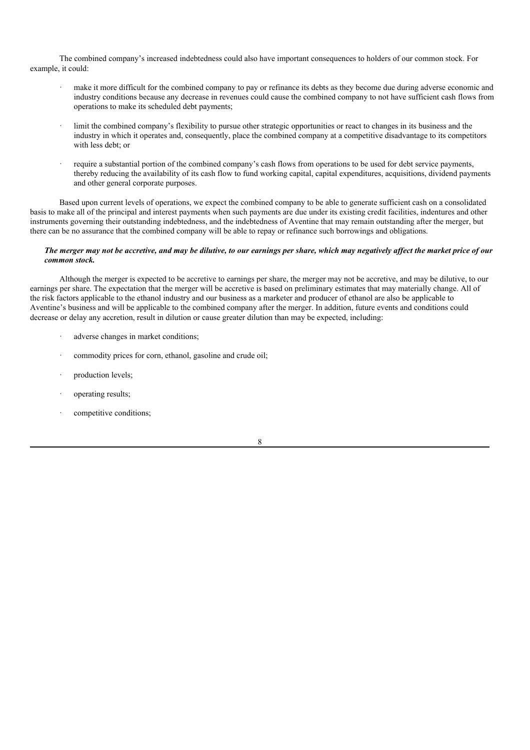The combined company's increased indebtedness could also have important consequences to holders of our common stock. For example, it could:

- make it more difficult for the combined company to pay or refinance its debts as they become due during adverse economic and industry conditions because any decrease in revenues could cause the combined company to not have sufficient cash flows from operations to make its scheduled debt payments;
- limit the combined company's flexibility to pursue other strategic opportunities or react to changes in its business and the industry in which it operates and, consequently, place the combined company at a competitive disadvantage to its competitors with less debt; or
- require a substantial portion of the combined company's cash flows from operations to be used for debt service payments, thereby reducing the availability of its cash flow to fund working capital, capital expenditures, acquisitions, dividend payments and other general corporate purposes.

Based upon current levels of operations, we expect the combined company to be able to generate sufficient cash on a consolidated basis to make all of the principal and interest payments when such payments are due under its existing credit facilities, indentures and other instruments governing their outstanding indebtedness, and the indebtedness of Aventine that may remain outstanding after the merger, but there can be no assurance that the combined company will be able to repay or refinance such borrowings and obligations.

#### The merger may not be accretive, and may be dilutive, to our earnings per share, which may negatively affect the market price of our *common stock.*

Although the merger is expected to be accretive to earnings per share, the merger may not be accretive, and may be dilutive, to our earnings per share. The expectation that the merger will be accretive is based on preliminary estimates that may materially change. All of the risk factors applicable to the ethanol industry and our business as a marketer and producer of ethanol are also be applicable to Aventine's business and will be applicable to the combined company after the merger. In addition, future events and conditions could decrease or delay any accretion, result in dilution or cause greater dilution than may be expected, including:

- adverse changes in market conditions;
- commodity prices for corn, ethanol, gasoline and crude oil;
- production levels;
- operating results;
- competitive conditions;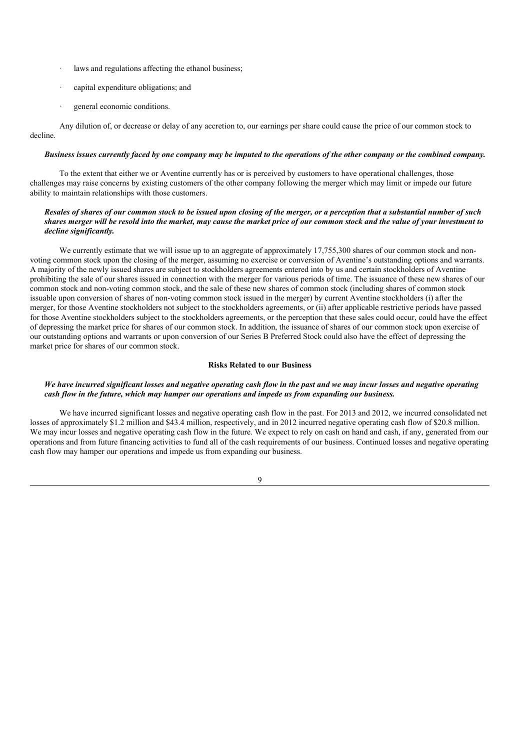- laws and regulations affecting the ethanol business:
- capital expenditure obligations; and
- general economic conditions.

Any dilution of, or decrease or delay of any accretion to, our earnings per share could cause the price of our common stock to decline.

#### Business issues currently faced by one company may be imputed to the operations of the other company or the combined company.

To the extent that either we or Aventine currently has or is perceived by customers to have operational challenges, those challenges may raise concerns by existing customers of the other company following the merger which may limit or impede our future ability to maintain relationships with those customers.

#### Resales of shares of our common stock to be issued upon closing of the merger, or a perception that a substantial number of such shares merger will be resold into the market, may cause the market price of our common stock and the value of your investment to *decline significantly.*

We currently estimate that we will issue up to an aggregate of approximately 17,755,300 shares of our common stock and nonvoting common stock upon the closing of the merger, assuming no exercise or conversion of Aventine's outstanding options and warrants. A majority of the newly issued shares are subject to stockholders agreements entered into by us and certain stockholders of Aventine prohibiting the sale of our shares issued in connection with the merger for various periods of time. The issuance of these new shares of our common stock and non-voting common stock, and the sale of these new shares of common stock (including shares of common stock issuable upon conversion of shares of non-voting common stock issued in the merger) by current Aventine stockholders (i) after the merger, for those Aventine stockholders not subject to the stockholders agreements, or (ii) after applicable restrictive periods have passed for those Aventine stockholders subject to the stockholders agreements, or the perception that these sales could occur, could have the effect of depressing the market price for shares of our common stock. In addition, the issuance of shares of our common stock upon exercise of our outstanding options and warrants or upon conversion of our Series B Preferred Stock could also have the effect of depressing the market price for shares of our common stock.

## **Risks Related to our Business**

### We have incurred significant losses and negative operating cash flow in the past and we may incur losses and negative operating *cash flow in the future, which may hamper our operations and impede us from expanding our business.*

We have incurred significant losses and negative operating cash flow in the past. For 2013 and 2012, we incurred consolidated net losses of approximately \$1.2 million and \$43.4 million, respectively, and in 2012 incurred negative operating cash flow of \$20.8 million. We may incur losses and negative operating cash flow in the future. We expect to rely on cash on hand and cash, if any, generated from our operations and from future financing activities to fund all of the cash requirements of our business. Continued losses and negative operating cash flow may hamper our operations and impede us from expanding our business.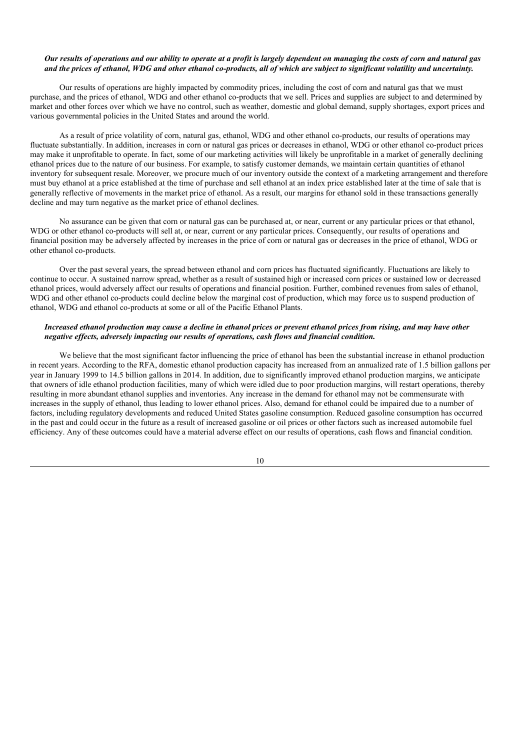#### Our results of operations and our ability to operate at a profit is largely dependent on managing the costs of corn and natural gas and the prices of ethanol. WDG and other ethanol co-products, all of which are subject to significant volatility and uncertainty.

Our results of operations are highly impacted by commodity prices, including the cost of corn and natural gas that we must purchase, and the prices of ethanol, WDG and other ethanol co-products that we sell. Prices and supplies are subject to and determined by market and other forces over which we have no control, such as weather, domestic and global demand, supply shortages, export prices and various governmental policies in the United States and around the world.

As a result of price volatility of corn, natural gas, ethanol, WDG and other ethanol co-products, our results of operations may fluctuate substantially. In addition, increases in corn or natural gas prices or decreases in ethanol, WDG or other ethanol co-product prices may make it unprofitable to operate. In fact, some of our marketing activities will likely be unprofitable in a market of generally declining ethanol prices due to the nature of our business. For example, to satisfy customer demands, we maintain certain quantities of ethanol inventory for subsequent resale. Moreover, we procure much of our inventory outside the context of a marketing arrangement and therefore must buy ethanol at a price established at the time of purchase and sell ethanol at an index price established later at the time of sale that is generally reflective of movements in the market price of ethanol. As a result, our margins for ethanol sold in these transactions generally decline and may turn negative as the market price of ethanol declines.

No assurance can be given that corn or natural gas can be purchased at, or near, current or any particular prices or that ethanol, WDG or other ethanol co-products will sell at, or near, current or any particular prices. Consequently, our results of operations and financial position may be adversely affected by increases in the price of corn or natural gas or decreases in the price of ethanol, WDG or other ethanol co-products.

Over the past several years, the spread between ethanol and corn prices has fluctuated significantly. Fluctuations are likely to continue to occur. A sustained narrow spread, whether as a result of sustained high or increased corn prices or sustained low or decreased ethanol prices, would adversely affect our results of operations and financial position. Further, combined revenues from sales of ethanol, WDG and other ethanol co-products could decline below the marginal cost of production, which may force us to suspend production of ethanol, WDG and ethanol co-products at some or all of the Pacific Ethanol Plants.

#### Increased ethanol production may cause a decline in ethanol prices or prevent ethanol prices from rising, and may have other *negative ef ects, adversely impacting our results of operations, cash flows and financial condition.*

We believe that the most significant factor influencing the price of ethanol has been the substantial increase in ethanol production in recent years. According to the RFA, domestic ethanol production capacity has increased from an annualized rate of 1.5 billion gallons per year in January 1999 to 14.5 billion gallons in 2014. In addition, due to significantly improved ethanol production margins, we anticipate that owners of idle ethanol production facilities, many of which were idled due to poor production margins, will restart operations, thereby resulting in more abundant ethanol supplies and inventories. Any increase in the demand for ethanol may not be commensurate with increases in the supply of ethanol, thus leading to lower ethanol prices. Also, demand for ethanol could be impaired due to a number of factors, including regulatory developments and reduced United States gasoline consumption. Reduced gasoline consumption has occurred in the past and could occur in the future as a result of increased gasoline or oil prices or other factors such as increased automobile fuel efficiency. Any of these outcomes could have a material adverse effect on our results of operations, cash flows and financial condition.

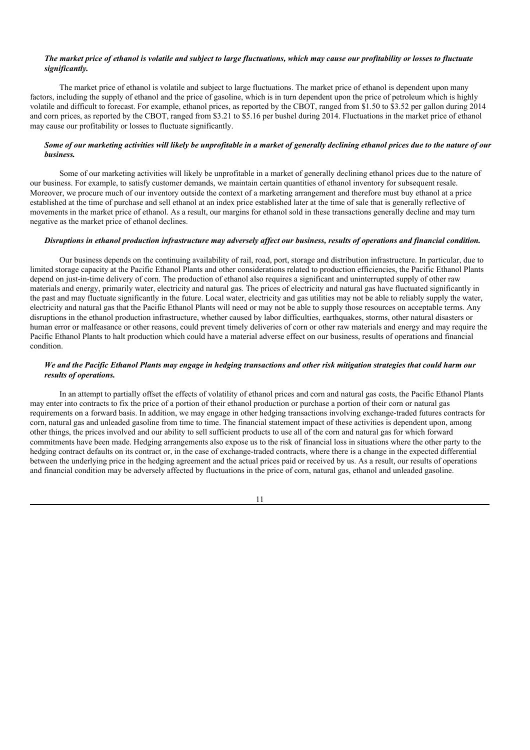## The market price of ethanol is volatile and subject to large fluctuations, which may cause our profitability or losses to fluctuate *significantly.*

The market price of ethanol is volatile and subject to large fluctuations. The market price of ethanol is dependent upon many factors, including the supply of ethanol and the price of gasoline, which is in turn dependent upon the price of petroleum which is highly volatile and difficult to forecast. For example, ethanol prices, as reported by the CBOT, ranged from \$1.50 to \$3.52 per gallon during 2014 and corn prices, as reported by the CBOT, ranged from \$3.21 to \$5.16 per bushel during 2014. Fluctuations in the market price of ethanol may cause our profitability or losses to fluctuate significantly.

## Some of our marketing activities will likely be unprofitable in a market of generally declining ethanol prices due to the nature of our *business.*

Some of our marketing activities will likely be unprofitable in a market of generally declining ethanol prices due to the nature of our business. For example, to satisfy customer demands, we maintain certain quantities of ethanol inventory for subsequent resale. Moreover, we procure much of our inventory outside the context of a marketing arrangement and therefore must buy ethanol at a price established at the time of purchase and sell ethanol at an index price established later at the time of sale that is generally reflective of movements in the market price of ethanol. As a result, our margins for ethanol sold in these transactions generally decline and may turn negative as the market price of ethanol declines.

## Disruptions in ethanol production infrastructure may adversely affect our business, results of operations and financial condition.

Our business depends on the continuing availability of rail, road, port, storage and distribution infrastructure. In particular, due to limited storage capacity at the Pacific Ethanol Plants and other considerations related to production efficiencies, the Pacific Ethanol Plants depend on just-in-time delivery of corn. The production of ethanol also requires a significant and uninterrupted supply of other raw materials and energy, primarily water, electricity and natural gas. The prices of electricity and natural gas have fluctuated significantly in the past and may fluctuate significantly in the future. Local water, electricity and gas utilities may not be able to reliably supply the water, electricity and natural gas that the Pacific Ethanol Plants will need or may not be able to supply those resources on acceptable terms. Any disruptions in the ethanol production infrastructure, whether caused by labor difficulties, earthquakes, storms, other natural disasters or human error or malfeasance or other reasons, could prevent timely deliveries of corn or other raw materials and energy and may require the Pacific Ethanol Plants to halt production which could have a material adverse effect on our business, results of operations and financial condition.

## We and the Pacific Ethanol Plants may engage in hedging transactions and other risk mitigation strategies that could harm our *results of operations.*

In an attempt to partially offset the effects of volatility of ethanol prices and corn and natural gas costs, the Pacific Ethanol Plants may enter into contracts to fix the price of a portion of their ethanol production or purchase a portion of their corn or natural gas requirements on a forward basis. In addition, we may engage in other hedging transactions involving exchange-traded futures contracts for corn, natural gas and unleaded gasoline from time to time. The financial statement impact of these activities is dependent upon, among other things, the prices involved and our ability to sell sufficient products to use all of the corn and natural gas for which forward commitments have been made. Hedging arrangements also expose us to the risk of financial loss in situations where the other party to the hedging contract defaults on its contract or, in the case of exchange-traded contracts, where there is a change in the expected differential between the underlying price in the hedging agreement and the actual prices paid or received by us. As a result, our results of operations and financial condition may be adversely affected by fluctuations in the price of corn, natural gas, ethanol and unleaded gasoline.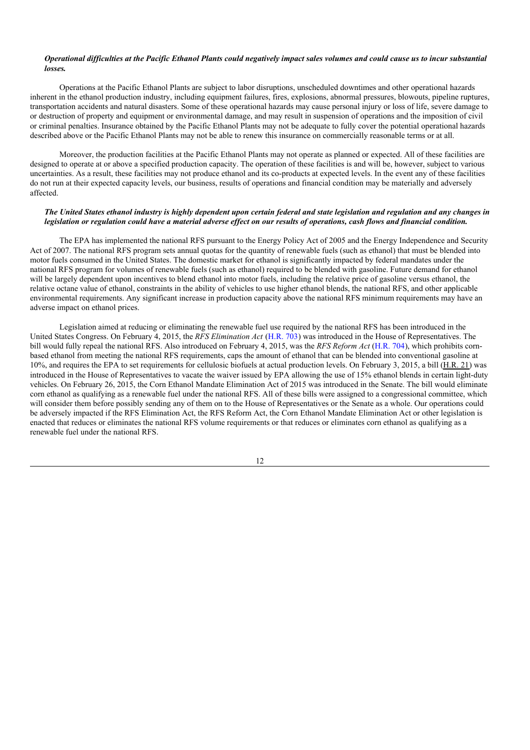#### Operational difficulties at the Pacific Ethanol Plants could negatively impact sales volumes and could cause us to incur substantial *losses.*

Operations at the Pacific Ethanol Plants are subject to labor disruptions, unscheduled downtimes and other operational hazards inherent in the ethanol production industry, including equipment failures, fires, explosions, abnormal pressures, blowouts, pipeline ruptures, transportation accidents and natural disasters. Some of these operational hazards may cause personal injury or loss of life, severe damage to or destruction of property and equipment or environmental damage, and may result in suspension of operations and the imposition of civil or criminal penalties. Insurance obtained by the Pacific Ethanol Plants may not be adequate to fully cover the potential operational hazards described above or the Pacific Ethanol Plants may not be able to renew this insurance on commercially reasonable terms or at all.

Moreover, the production facilities at the Pacific Ethanol Plants may not operate as planned or expected. All of these facilities are designed to operate at or above a specified production capacity. The operation of these facilities is and will be, however, subject to various uncertainties. As a result, these facilities may not produce ethanol and its co-products at expected levels. In the event any of these facilities do not run at their expected capacity levels, our business, results of operations and financial condition may be materially and adversely affected.

#### The United States ethanol industry is highly dependent upon certain federal and state legislation and regulation and any changes in legislation or regulation could have a material adverse effect on our results of operations, cash flows and financial condition.

The EPA has implemented the national RFS pursuant to the Energy Policy Act of 2005 and the Energy Independence and Security Act of 2007. The national RFS program sets annual quotas for the quantity of renewable fuels (such as ethanol) that must be blended into motor fuels consumed in the United States. The domestic market for ethanol is significantly impacted by federal mandates under the national RFS program for volumes of renewable fuels (such as ethanol) required to be blended with gasoline. Future demand for ethanol will be largely dependent upon incentives to blend ethanol into motor fuels, including the relative price of gasoline versus ethanol, the relative octane value of ethanol, constraints in the ability of vehicles to use higher ethanol blends, the national RFS, and other applicable environmental requirements. Any significant increase in production capacity above the national RFS minimum requirements may have an adverse impact on ethanol prices.

Legislation aimed at reducing or eliminating the renewable fuel use required by the national RFS has been introduced in the United States Congress. On February 4, 2015, the *RFS Elimination Act* (H.R. 703) was introduced in the House of Representatives. The bill would fully repeal the national RFS. Also introduced on February 4, 2015, was the *RFS Reform Act* (H.R. 704), which prohibits cornbased ethanol from meeting the national RFS requirements, caps the amount of ethanol that can be blended into conventional gasoline at 10%, and requires the EPA to set requirements for cellulosic biofuels at actual production levels. On February 3, 2015, a bill (H.R. 21) was introduced in the House of Representatives to vacate the waiver issued by EPA allowing the use of 15% ethanol blends in certain light-duty vehicles. On February 26, 2015, the Corn Ethanol Mandate Elimination Act of 2015 was introduced in the Senate. The bill would eliminate corn ethanol as qualifying as a renewable fuel under the national RFS. All of these bills were assigned to a congressional committee, which will consider them before possibly sending any of them on to the House of Representatives or the Senate as a whole. Our operations could be adversely impacted if the RFS Elimination Act, the RFS Reform Act, the Corn Ethanol Mandate Elimination Act or other legislation is enacted that reduces or eliminates the national RFS volume requirements or that reduces or eliminates corn ethanol as qualifying as a renewable fuel under the national RFS.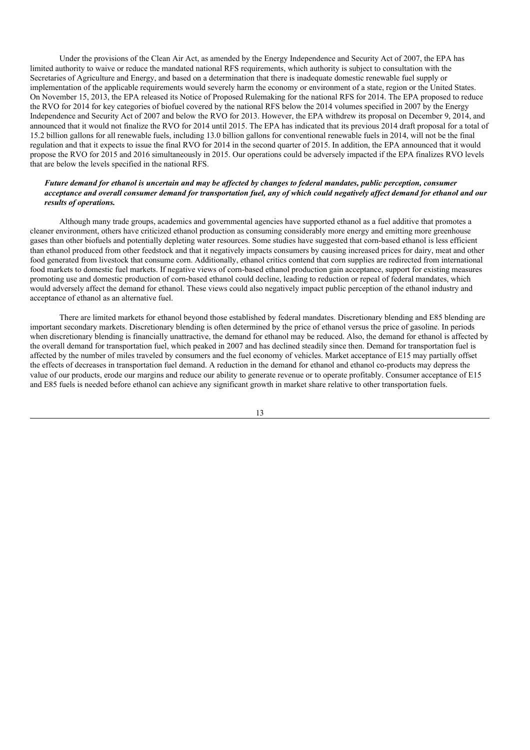Under the provisions of the Clean Air Act, as amended by the Energy Independence and Security Act of 2007, the EPA has limited authority to waive or reduce the mandated national RFS requirements, which authority is subject to consultation with the Secretaries of Agriculture and Energy, and based on a determination that there is inadequate domestic renewable fuel supply or implementation of the applicable requirements would severely harm the economy or environment of a state, region or the United States. On November 15, 2013, the EPA released its Notice of Proposed Rulemaking for the national RFS for 2014. The EPA proposed to reduce the RVO for 2014 for key categories of biofuel covered by the national RFS below the 2014 volumes specified in 2007 by the Energy Independence and Security Act of 2007 and below the RVO for 2013. However, the EPA withdrew its proposal on December 9, 2014, and announced that it would not finalize the RVO for 2014 until 2015. The EPA has indicated that its previous 2014 draft proposal for a total of 15.2 billion gallons for all renewable fuels, including 13.0 billion gallons for conventional renewable fuels in 2014, will not be the final regulation and that it expects to issue the final RVO for 2014 in the second quarter of 2015. In addition, the EPA announced that it would propose the RVO for 2015 and 2016 simultaneously in 2015. Our operations could be adversely impacted if the EPA finalizes RVO levels that are below the levels specified in the national RFS.

## Future demand for ethanol is uncertain and may be affected by changes to federal mandates, public perception, consumer acceptance and overall consumer demand for transportation fuel, any of which could negatively affect demand for ethanol and our *results of operations.*

Although many trade groups, academics and governmental agencies have supported ethanol as a fuel additive that promotes a cleaner environment, others have criticized ethanol production as consuming considerably more energy and emitting more greenhouse gases than other biofuels and potentially depleting water resources. Some studies have suggested that corn-based ethanol is less efficient than ethanol produced from other feedstock and that it negatively impacts consumers by causing increased prices for dairy, meat and other food generated from livestock that consume corn. Additionally, ethanol critics contend that corn supplies are redirected from international food markets to domestic fuel markets. If negative views of corn-based ethanol production gain acceptance, support for existing measures promoting use and domestic production of corn-based ethanol could decline, leading to reduction or repeal of federal mandates, which would adversely affect the demand for ethanol. These views could also negatively impact public perception of the ethanol industry and acceptance of ethanol as an alternative fuel.

There are limited markets for ethanol beyond those established by federal mandates. Discretionary blending and E85 blending are important secondary markets. Discretionary blending is often determined by the price of ethanol versus the price of gasoline. In periods when discretionary blending is financially unattractive, the demand for ethanol may be reduced. Also, the demand for ethanol is affected by the overall demand for transportation fuel, which peaked in 2007 and has declined steadily since then. Demand for transportation fuel is affected by the number of miles traveled by consumers and the fuel economy of vehicles. Market acceptance of E15 may partially offset the effects of decreases in transportation fuel demand. A reduction in the demand for ethanol and ethanol co-products may depress the value of our products, erode our margins and reduce our ability to generate revenue or to operate profitably. Consumer acceptance of E15 and E85 fuels is needed before ethanol can achieve any significant growth in market share relative to other transportation fuels.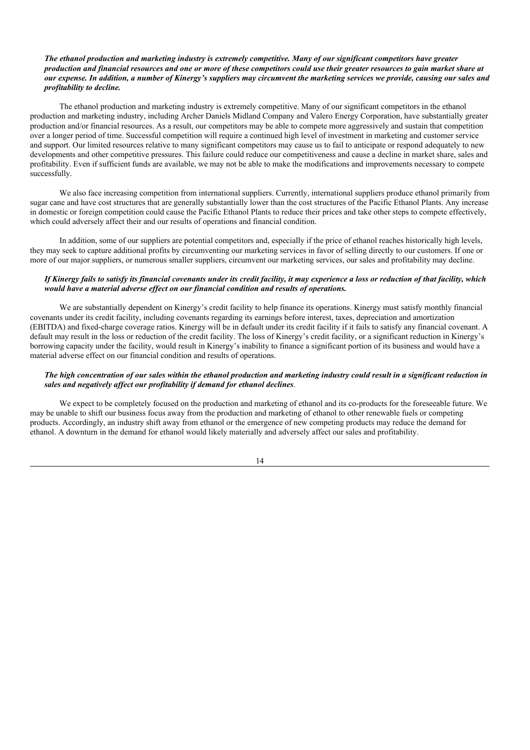## The ethanol production and marketing industry is extremely competitive. Many of our significant competitors have greater production and financial resources and one or more of these competitors could use their greater resources to gain market share at our expense. In addition, a number of Kinergy's suppliers may circumvent the marketing services we provide, causing our sales and *profitability to decline.*

The ethanol production and marketing industry is extremely competitive. Many of our significant competitors in the ethanol production and marketing industry, including Archer Daniels Midland Company and Valero Energy Corporation, have substantially greater production and/or financial resources. As a result, our competitors may be able to compete more aggressively and sustain that competition over a longer period of time. Successful competition will require a continued high level of investment in marketing and customer service and support. Our limited resources relative to many significant competitors may cause us to fail to anticipate or respond adequately to new developments and other competitive pressures. This failure could reduce our competitiveness and cause a decline in market share, sales and profitability. Even if sufficient funds are available, we may not be able to make the modifications and improvements necessary to compete successfully.

We also face increasing competition from international suppliers. Currently, international suppliers produce ethanol primarily from sugar cane and have cost structures that are generally substantially lower than the cost structures of the Pacific Ethanol Plants. Any increase in domestic or foreign competition could cause the Pacific Ethanol Plants to reduce their prices and take other steps to compete effectively, which could adversely affect their and our results of operations and financial condition.

In addition, some of our suppliers are potential competitors and, especially if the price of ethanol reaches historically high levels, they may seek to capture additional profits by circumventing our marketing services in favor of selling directly to our customers. If one or more of our major suppliers, or numerous smaller suppliers, circumvent our marketing services, our sales and profitability may decline.

### If Kinergy fails to satisfy its financial covenants under its credit facility, it may experience a loss or reduction of that facility, which *would have a material adverse ef ect on our financial condition and results of operations.*

We are substantially dependent on Kinergy's credit facility to help finance its operations. Kinergy must satisfy monthly financial covenants under its credit facility, including covenants regarding its earnings before interest, taxes, depreciation and amortization (EBITDA) and fixed-charge coverage ratios. Kinergy will be in default under its credit facility if it fails to satisfy any financial covenant. A default may result in the loss or reduction of the credit facility. The loss of Kinergy's credit facility, or a significant reduction in Kinergy's borrowing capacity under the facility, would result in Kinergy's inability to finance a significant portion of its business and would have a material adverse effect on our financial condition and results of operations.

## The high concentration of our sales within the ethanol production and marketing industry could result in a significant reduction in *sales and negatively af ect our profitability if demand for ethanol declines*.

We expect to be completely focused on the production and marketing of ethanol and its co-products for the foreseeable future. We may be unable to shift our business focus away from the production and marketing of ethanol to other renewable fuels or competing products. Accordingly, an industry shift away from ethanol or the emergence of new competing products may reduce the demand for ethanol. A downturn in the demand for ethanol would likely materially and adversely affect our sales and profitability.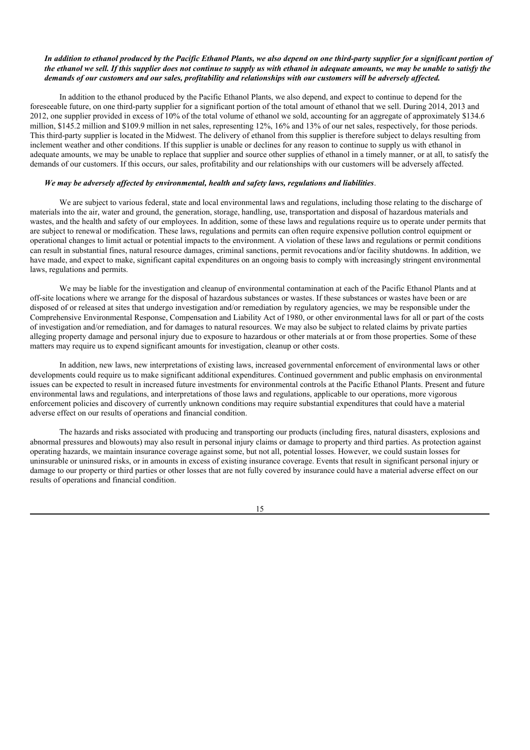## In addition to ethanol produced by the Pacific Ethanol Plants, we also depend on one third-party supplier for a significant portion of the ethanol we sell. If this supplier does not continue to supply us with ethanol in adequate amounts, we may be unable to satisfy the demands of our customers and our sales, profitability and relationships with our customers will be adversely affected.

In addition to the ethanol produced by the Pacific Ethanol Plants, we also depend, and expect to continue to depend for the foreseeable future, on one third-party supplier for a significant portion of the total amount of ethanol that we sell. During 2014, 2013 and 2012, one supplier provided in excess of 10% of the total volume of ethanol we sold, accounting for an aggregate of approximately \$134.6 million, \$145.2 million and \$109.9 million in net sales, representing 12%, 16% and 13% of our net sales, respectively, for those periods. This third-party supplier is located in the Midwest. The delivery of ethanol from this supplier is therefore subject to delays resulting from inclement weather and other conditions. If this supplier is unable or declines for any reason to continue to supply us with ethanol in adequate amounts, we may be unable to replace that supplier and source other supplies of ethanol in a timely manner, or at all, to satisfy the demands of our customers. If this occurs, our sales, profitability and our relationships with our customers will be adversely affected.

## *We may be adversely af ected by environmental, health and safety laws, regulations and liabilities*.

We are subject to various federal, state and local environmental laws and regulations, including those relating to the discharge of materials into the air, water and ground, the generation, storage, handling, use, transportation and disposal of hazardous materials and wastes, and the health and safety of our employees. In addition, some of these laws and regulations require us to operate under permits that are subject to renewal or modification. These laws, regulations and permits can often require expensive pollution control equipment or operational changes to limit actual or potential impacts to the environment. A violation of these laws and regulations or permit conditions can result in substantial fines, natural resource damages, criminal sanctions, permit revocations and/or facility shutdowns. In addition, we have made, and expect to make, significant capital expenditures on an ongoing basis to comply with increasingly stringent environmental laws, regulations and permits.

We may be liable for the investigation and cleanup of environmental contamination at each of the Pacific Ethanol Plants and at off-site locations where we arrange for the disposal of hazardous substances or wastes. If these substances or wastes have been or are disposed of or released at sites that undergo investigation and/or remediation by regulatory agencies, we may be responsible under the Comprehensive Environmental Response, Compensation and Liability Act of 1980, or other environmental laws for all or part of the costs of investigation and/or remediation, and for damages to natural resources. We may also be subject to related claims by private parties alleging property damage and personal injury due to exposure to hazardous or other materials at or from those properties. Some of these matters may require us to expend significant amounts for investigation, cleanup or other costs.

In addition, new laws, new interpretations of existing laws, increased governmental enforcement of environmental laws or other developments could require us to make significant additional expenditures. Continued government and public emphasis on environmental issues can be expected to result in increased future investments for environmental controls at the Pacific Ethanol Plants. Present and future environmental laws and regulations, and interpretations of those laws and regulations, applicable to our operations, more vigorous enforcement policies and discovery of currently unknown conditions may require substantial expenditures that could have a material adverse effect on our results of operations and financial condition.

The hazards and risks associated with producing and transporting our products (including fires, natural disasters, explosions and abnormal pressures and blowouts) may also result in personal injury claims or damage to property and third parties. As protection against operating hazards, we maintain insurance coverage against some, but not all, potential losses. However, we could sustain losses for uninsurable or uninsured risks, or in amounts in excess of existing insurance coverage. Events that result in significant personal injury or damage to our property or third parties or other losses that are not fully covered by insurance could have a material adverse effect on our results of operations and financial condition.

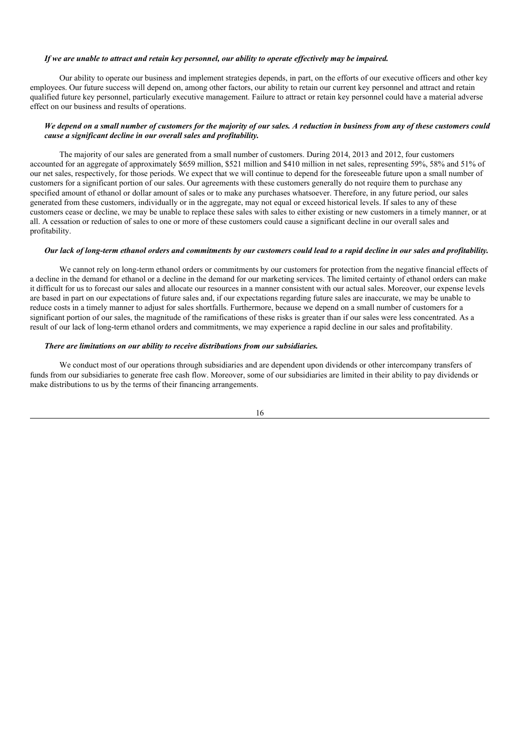#### If we are unable to attract and retain key personnel, our ability to operate effectively may be impaired.

Our ability to operate our business and implement strategies depends, in part, on the efforts of our executive officers and other key employees. Our future success will depend on, among other factors, our ability to retain our current key personnel and attract and retain qualified future key personnel, particularly executive management. Failure to attract or retain key personnel could have a material adverse effect on our business and results of operations.

## We depend on a small number of customers for the majority of our sales. A reduction in business from any of these customers could *cause a significant decline in our overall sales and profitability.*

The majority of our sales are generated from a small number of customers. During 2014, 2013 and 2012, four customers accounted for an aggregate of approximately \$659 million, \$521 million and \$410 million in net sales, representing 59%, 58% and 51% of our net sales, respectively, for those periods. We expect that we will continue to depend for the foreseeable future upon a small number of customers for a significant portion of our sales. Our agreements with these customers generally do not require them to purchase any specified amount of ethanol or dollar amount of sales or to make any purchases whatsoever. Therefore, in any future period, our sales generated from these customers, individually or in the aggregate, may not equal or exceed historical levels. If sales to any of these customers cease or decline, we may be unable to replace these sales with sales to either existing or new customers in a timely manner, or at all. A cessation or reduction of sales to one or more of these customers could cause a significant decline in our overall sales and profitability.

#### Our lack of long-term ethanol orders and commitments by our customers could lead to a rapid decline in our sales and profitability.

We cannot rely on long-term ethanol orders or commitments by our customers for protection from the negative financial effects of a decline in the demand for ethanol or a decline in the demand for our marketing services. The limited certainty of ethanol orders can make it difficult for us to forecast our sales and allocate our resources in a manner consistent with our actual sales. Moreover, our expense levels are based in part on our expectations of future sales and, if our expectations regarding future sales are inaccurate, we may be unable to reduce costs in a timely manner to adjust for sales shortfalls. Furthermore, because we depend on a small number of customers for a significant portion of our sales, the magnitude of the ramifications of these risks is greater than if our sales were less concentrated. As a result of our lack of long-term ethanol orders and commitments, we may experience a rapid decline in our sales and profitability.

## *There are limitations on our ability to receive distributions from our subsidiaries.*

We conduct most of our operations through subsidiaries and are dependent upon dividends or other intercompany transfers of funds from our subsidiaries to generate free cash flow. Moreover, some of our subsidiaries are limited in their ability to pay dividends or make distributions to us by the terms of their financing arrangements.

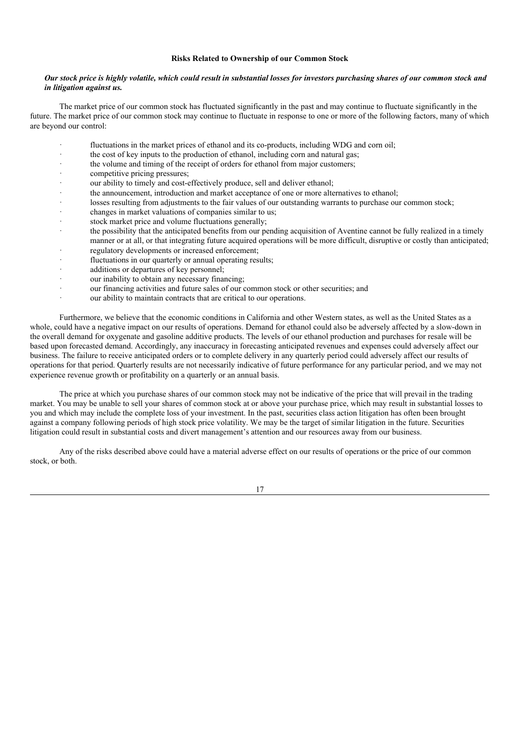#### **Risks Related to Ownership of our Common Stock**

#### Our stock price is highly volatile, which could result in substantial losses for investors purchasing shares of our common stock and *in litigation against us.*

The market price of our common stock has fluctuated significantly in the past and may continue to fluctuate significantly in the future. The market price of our common stock may continue to fluctuate in response to one or more of the following factors, many of which are beyond our control:

- fluctuations in the market prices of ethanol and its co-products, including WDG and corn oil;
- · the cost of key inputs to the production of ethanol, including corn and natural gas;
- the volume and timing of the receipt of orders for ethanol from major customers;
- competitive pricing pressures;
- our ability to timely and cost-effectively produce, sell and deliver ethanol;
- · the announcement, introduction and market acceptance of one or more alternatives to ethanol;
- losses resulting from adjustments to the fair values of our outstanding warrants to purchase our common stock;
- changes in market valuations of companies similar to us;
- stock market price and volume fluctuations generally;
- the possibility that the anticipated benefits from our pending acquisition of Aventine cannot be fully realized in a timely manner or at all, or that integrating future acquired operations will be more difficult, disruptive or costly than anticipated; regulatory developments or increased enforcement:
- fluctuations in our quarterly or annual operating results;
- additions or departures of key personnel;
- our inability to obtain any necessary financing;
- 
- our financing activities and future sales of our common stock or other securities; and
- our ability to maintain contracts that are critical to our operations.

Furthermore, we believe that the economic conditions in California and other Western states, as well as the United States as a whole, could have a negative impact on our results of operations. Demand for ethanol could also be adversely affected by a slow-down in the overall demand for oxygenate and gasoline additive products. The levels of our ethanol production and purchases for resale will be based upon forecasted demand. Accordingly, any inaccuracy in forecasting anticipated revenues and expenses could adversely affect our business. The failure to receive anticipated orders or to complete delivery in any quarterly period could adversely affect our results of operations for that period. Quarterly results are not necessarily indicative of future performance for any particular period, and we may not experience revenue growth or profitability on a quarterly or an annual basis.

The price at which you purchase shares of our common stock may not be indicative of the price that will prevail in the trading market. You may be unable to sell your shares of common stock at or above your purchase price, which may result in substantial losses to you and which may include the complete loss of your investment. In the past, securities class action litigation has often been brought against a company following periods of high stock price volatility. We may be the target of similar litigation in the future. Securities litigation could result in substantial costs and divert management's attention and our resources away from our business.

Any of the risks described above could have a material adverse effect on our results of operations or the price of our common stock, or both.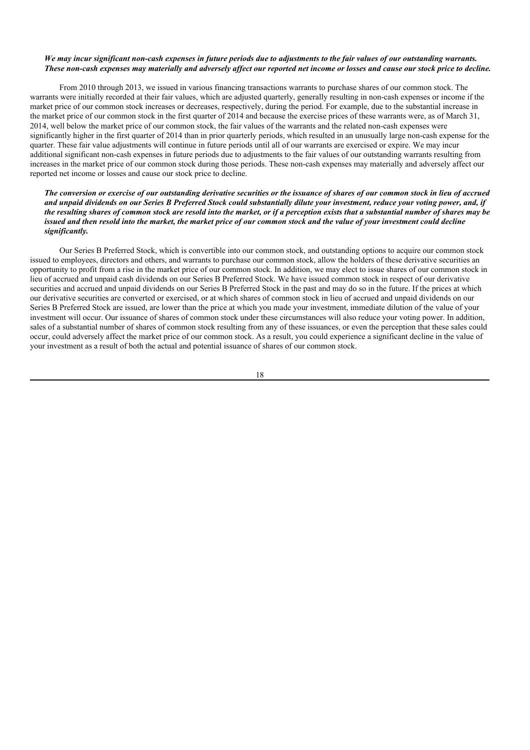## We may incur significant non-cash expenses in future periods due to adjustments to the fair values of our outstanding warrants. These non-cash expenses may materially and adversely affect our reported net income or losses and cause our stock price to decline.

From 2010 through 2013, we issued in various financing transactions warrants to purchase shares of our common stock. The warrants were initially recorded at their fair values, which are adjusted quarterly, generally resulting in non-cash expenses or income if the market price of our common stock increases or decreases, respectively, during the period. For example, due to the substantial increase in the market price of our common stock in the first quarter of 2014 and because the exercise prices of these warrants were, as of March 31, 2014, well below the market price of our common stock, the fair values of the warrants and the related non-cash expenses were significantly higher in the first quarter of 2014 than in prior quarterly periods, which resulted in an unusually large non-cash expense for the quarter. These fair value adjustments will continue in future periods until all of our warrants are exercised or expire. We may incur additional significant non-cash expenses in future periods due to adjustments to the fair values of our outstanding warrants resulting from increases in the market price of our common stock during those periods. These non-cash expenses may materially and adversely affect our reported net income or losses and cause our stock price to decline.

## The conversion or exercise of our outstanding derivative securities or the issuance of shares of our common stock in lieu of accrued and unpaid dividends on our Series B Preferred Stock could substantially dilute your investment, reduce your voting power, and, if the resulting shares of common stock are resold into the market, or if a perception exists that a substantial number of shares may be issued and then resold into the market, the market price of our common stock and the value of your investment could decline *significantly.*

Our Series B Preferred Stock, which is convertible into our common stock, and outstanding options to acquire our common stock issued to employees, directors and others, and warrants to purchase our common stock, allow the holders of these derivative securities an opportunity to profit from a rise in the market price of our common stock. In addition, we may elect to issue shares of our common stock in lieu of accrued and unpaid cash dividends on our Series B Preferred Stock. We have issued common stock in respect of our derivative securities and accrued and unpaid dividends on our Series B Preferred Stock in the past and may do so in the future. If the prices at which our derivative securities are converted or exercised, or at which shares of common stock in lieu of accrued and unpaid dividends on our Series B Preferred Stock are issued, are lower than the price at which you made your investment, immediate dilution of the value of your investment will occur. Our issuance of shares of common stock under these circumstances will also reduce your voting power. In addition, sales of a substantial number of shares of common stock resulting from any of these issuances, or even the perception that these sales could occur, could adversely affect the market price of our common stock. As a result, you could experience a significant decline in the value of your investment as a result of both the actual and potential issuance of shares of our common stock.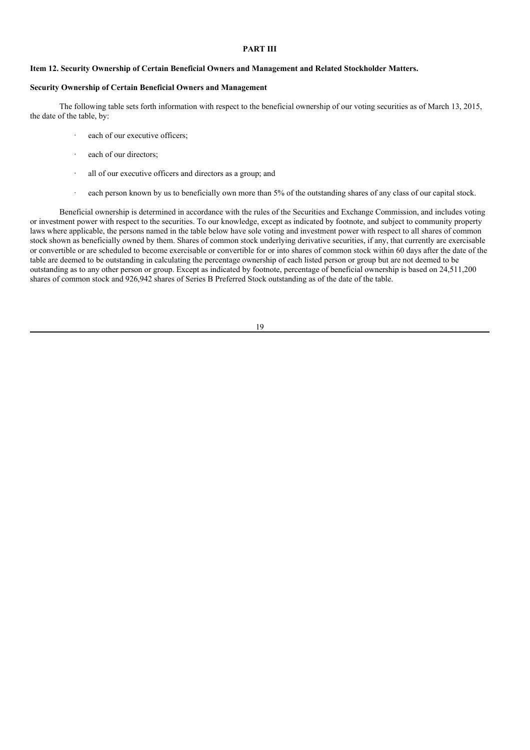## **PART III**

## **Item 12. Security Ownership of Certain Beneficial Owners and Management and Related Stockholder Matters.**

#### **Security Ownership of Certain Beneficial Owners and Management**

The following table sets forth information with respect to the beneficial ownership of our voting securities as of March 13, 2015, the date of the table, by:

- each of our executive officers:
- each of our directors:
- all of our executive officers and directors as a group; and
- · each person known by us to beneficially own more than 5% of the outstanding shares of any class of our capital stock.

Beneficial ownership is determined in accordance with the rules of the Securities and Exchange Commission, and includes voting or investment power with respect to the securities. To our knowledge, except as indicated by footnote, and subject to community property laws where applicable, the persons named in the table below have sole voting and investment power with respect to all shares of common stock shown as beneficially owned by them. Shares of common stock underlying derivative securities, if any, that currently are exercisable or convertible or are scheduled to become exercisable or convertible for or into shares of common stock within 60 days after the date of the table are deemed to be outstanding in calculating the percentage ownership of each listed person or group but are not deemed to be outstanding as to any other person or group. Except as indicated by footnote, percentage of beneficial ownership is based on 24,511,200 shares of common stock and 926,942 shares of Series B Preferred Stock outstanding as of the date of the table.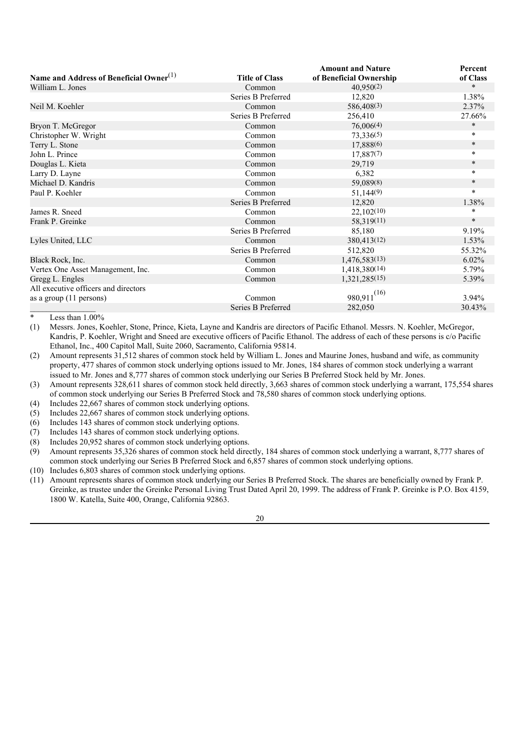|                                                     |                       | <b>Amount and Nature</b> | Percent  |
|-----------------------------------------------------|-----------------------|--------------------------|----------|
| Name and Address of Beneficial Owner <sup>(1)</sup> | <b>Title of Class</b> | of Beneficial Ownership  | of Class |
| William L. Jones                                    | Common                | 40,950(2)                | $\ast$   |
|                                                     | Series B Preferred    | 12,820                   | 1.38%    |
| Neil M. Koehler                                     | Common                | 586,408(3)               | 2.37%    |
|                                                     | Series B Preferred    | 256,410                  | 27.66%   |
| Bryon T. McGregor                                   | Common                | 76,006(4)                | $\ast$   |
| Christopher W. Wright                               | Common                | 73,336(5)                | $\star$  |
| Terry L. Stone                                      | Common                | 17,888(6)                | $\ast$   |
| John L. Prince                                      | Common                | 17,887(7)                | $\star$  |
| Douglas L. Kieta                                    | Common                | 29,719                   | $\star$  |
| Larry D. Layne                                      | Common                | 6,382                    | $\ast$   |
| Michael D. Kandris                                  | Common                | 59,089(8)                | $*$      |
| Paul P. Koehler                                     | Common                | 51,144(9)                | $\star$  |
|                                                     | Series B Preferred    | 12,820                   | 1.38%    |
| James R. Sneed                                      | Common                | 22,102(10)               | $\ast$   |
| Frank P. Greinke                                    | Common                | 58,319(11)               | $\ast$   |
|                                                     | Series B Preferred    | 85,180                   | 9.19%    |
| Lyles United, LLC                                   | Common                | 380,413(12)              | $1.53\%$ |
|                                                     | Series B Preferred    | 512,820                  | 55.32%   |
| Black Rock, Inc.                                    | Common                | 1,476,583(13)            | $6.02\%$ |
| Vertex One Asset Management, Inc.                   | Common                | 1,418,380(14)            | 5.79%    |
| Gregg L. Engles                                     | Common                | 1,321,285(15)            | 5.39%    |
| All executive officers and directors                |                       |                          |          |
| as a group (11 persons)                             | Common                | $980,911^{(16)}$         | $3.94\%$ |
|                                                     | Series B Preferred    | 282,050                  | 30.43%   |

Less than  $1.00\%$ 

(1) Messrs. Jones, Koehler, Stone, Prince, Kieta, Layne and Kandris are directors of Pacific Ethanol. Messrs. N. Koehler, McGregor, Kandris, P. Koehler, Wright and Sneed are executive officers of Pacific Ethanol. The address of each of these persons is c/o Pacific Ethanol, Inc., 400 Capitol Mall, Suite 2060, Sacramento, California 95814.

(2) Amount represents 31,512 shares of common stock held by William L. Jones and Maurine Jones, husband and wife, as community property, 477 shares of common stock underlying options issued to Mr. Jones, 184 shares of common stock underlying a warrant issued to Mr. Jones and 8,777 shares of common stock underlying our Series B Preferred Stock held by Mr. Jones.

(3) Amount represents 328,611 shares of common stock held directly, 3,663 shares of common stock underlying a warrant, 175,554 shares of common stock underlying our Series B Preferred Stock and 78,580 shares of common stock underlying options.

(4) Includes 22,667 shares of common stock underlying options.

(5) Includes 22,667 shares of common stock underlying options.

(6) Includes 143 shares of common stock underlying options.

(7) Includes 143 shares of common stock underlying options.

(8) Includes 20,952 shares of common stock underlying options.

(9) Amount represents 35,326 shares of common stock held directly, 184 shares of common stock underlying a warrant, 8,777 shares of common stock underlying our Series B Preferred Stock and 6,857 shares of common stock underlying options.

(10) Includes 6,803 shares of common stock underlying options.

(11) Amount represents shares of common stock underlying our Series B Preferred Stock. The shares are beneficially owned by Frank P. Greinke, as trustee under the Greinke Personal Living Trust Dated April 20, 1999. The address of Frank P. Greinke is P.O. Box 4159, 1800 W. Katella, Suite 400, Orange, California 92863.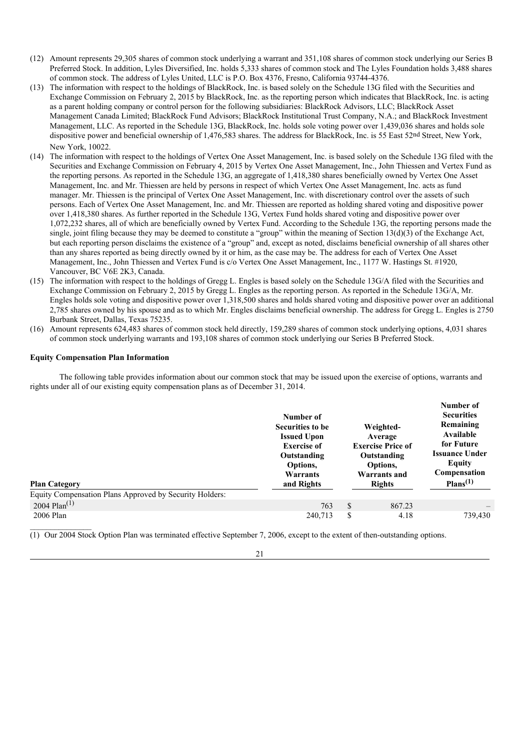- (12) Amount represents 29,305 shares of common stock underlying a warrant and 351,108 shares of common stock underlying our Series B Preferred Stock. In addition, Lyles Diversified, Inc. holds 5,333 shares of common stock and The Lyles Foundation holds 3,488 shares of common stock. The address of Lyles United, LLC is P.O. Box 4376, Fresno, California 93744-4376.
- (13) The information with respect to the holdings of BlackRock, Inc. is based solely on the Schedule 13G filed with the Securities and Exchange Commission on February 2, 2015 by BlackRock, Inc. as the reporting person which indicates that BlackRock, Inc. is acting as a parent holding company or control person for the following subsidiaries: BlackRock Advisors, LLC; BlackRock Asset Management Canada Limited; BlackRock Fund Advisors; BlackRock Institutional Trust Company, N.A.; and BlackRock Investment Management, LLC. As reported in the Schedule 13G, BlackRock, Inc. holds sole voting power over 1,439,036 shares and holds sole dispositive power and beneficial ownership of 1,476,583 shares. The address for BlackRock, Inc. is 55 East 52nd Street, New York, New York, 10022.
- (14) The information with respect to the holdings of Vertex One Asset Management, Inc. is based solely on the Schedule 13G filed with the Securities and Exchange Commission on February 4, 2015 by Vertex One Asset Management, Inc., John Thiessen and Vertex Fund as the reporting persons. As reported in the Schedule 13G, an aggregate of 1,418,380 shares beneficially owned by Vertex One Asset Management, Inc. and Mr. Thiessen are held by persons in respect of which Vertex One Asset Management, Inc. acts as fund manager. Mr. Thiessen is the principal of Vertex One Asset Management, Inc. with discretionary control over the assets of such persons. Each of Vertex One Asset Management, Inc. and Mr. Thiessen are reported as holding shared voting and dispositive power over 1,418,380 shares. As further reported in the Schedule 13G, Vertex Fund holds shared voting and dispositive power over 1,072,232 shares, all of which are beneficially owned by Vertex Fund. According to the Schedule 13G, the reporting persons made the single, joint filing because they may be deemed to constitute a "group" within the meaning of Section 13(d)(3) of the Exchange Act, but each reporting person disclaims the existence of a "group" and, except as noted, disclaims beneficial ownership of all shares other than any shares reported as being directly owned by it or him, as the case may be. The address for each of Vertex One Asset Management, Inc., John Thiessen and Vertex Fund is c/o Vertex One Asset Management, Inc., 1177 W. Hastings St. #1920, Vancouver, BC V6E 2K3, Canada.
- (15) The information with respect to the holdings of Gregg L. Engles is based solely on the Schedule 13G/A filed with the Securities and Exchange Commission on February 2, 2015 by Gregg L. Engles as the reporting person. As reported in the Schedule 13G/A, Mr. Engles holds sole voting and dispositive power over 1,318,500 shares and holds shared voting and dispositive power over an additional 2,785 shares owned by his spouse and as to which Mr. Engles disclaims beneficial ownership. The address for Gregg L. Engles is 2750 Burbank Street, Dallas, Texas 75235.
- (16) Amount represents 624,483 shares of common stock held directly, 159,289 shares of common stock underlying options, 4,031 shares of common stock underlying warrants and 193,108 shares of common stock underlying our Series B Preferred Stock.

#### **Equity Compensation Plan Information**

The following table provides information about our common stock that may be issued upon the exercise of options, warrants and rights under all of our existing equity compensation plans as of December 31, 2014.

| <b>Plan Category</b><br>Equity Compensation Plans Approved by Security Holders: | Number of<br>Securities to be<br><b>Issued Upon</b><br><b>Exercise of</b><br>Outstanding<br>Options.<br>Warrants<br>and Rights |               | Weighted-<br>Average<br><b>Exercise Price of</b><br>Outstanding<br>Options,<br>Warrants and<br><b>Rights</b> | Number of<br><b>Securities</b><br>Remaining<br>Available<br>for Future<br><b>Issuance Under</b><br><b>Equity</b><br>Compensation<br>Plans <sup>(1)</sup> |
|---------------------------------------------------------------------------------|--------------------------------------------------------------------------------------------------------------------------------|---------------|--------------------------------------------------------------------------------------------------------------|----------------------------------------------------------------------------------------------------------------------------------------------------------|
| 2004 Plan $^{(1)}$                                                              | 763                                                                                                                            | <sup>\$</sup> | 867.23                                                                                                       |                                                                                                                                                          |
| 2006 Plan                                                                       | 240,713                                                                                                                        | S             | 4.18                                                                                                         | 739,430                                                                                                                                                  |

(1) Our 2004 Stock Option Plan was terminated effective September 7, 2006, except to the extent of then-outstanding options.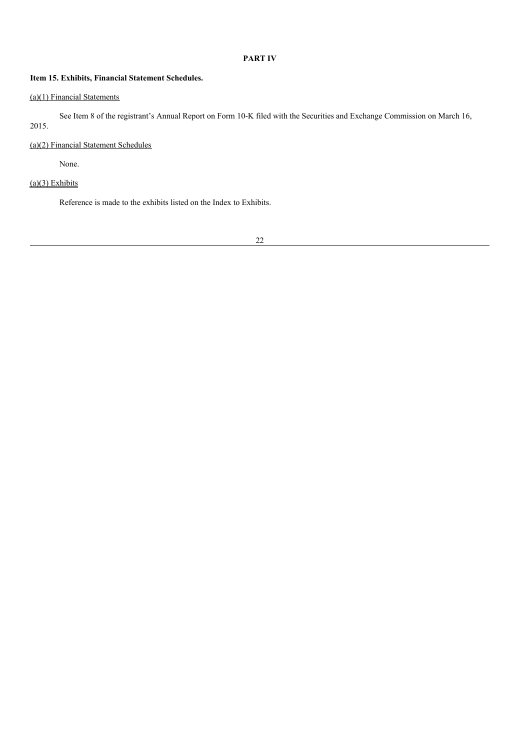## **PART IV**

## **Item 15. Exhibits, Financial Statement Schedules.**

## (a)(1) Financial Statements

See Item 8 of the registrant's Annual Report on Form 10-K filed with the Securities and Exchange Commission on March 16, 2015.

## (a)(2) Financial Statement Schedules

None.

## $(a)(3)$  Exhibits

Reference is made to the exhibits listed on the Index to Exhibits.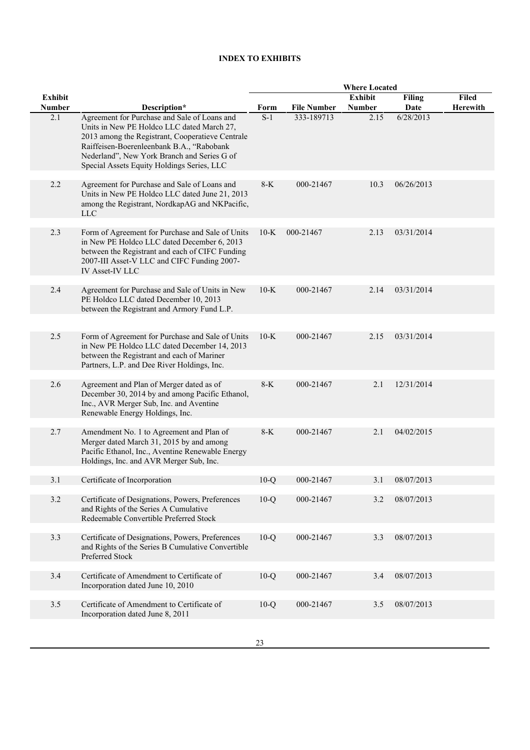## **INDEX TO EXHIBITS**

|                |                                                                                                                                                                                                                                                                                          | <b>Where Located</b> |                    |                |               |                 |
|----------------|------------------------------------------------------------------------------------------------------------------------------------------------------------------------------------------------------------------------------------------------------------------------------------------|----------------------|--------------------|----------------|---------------|-----------------|
| <b>Exhibit</b> |                                                                                                                                                                                                                                                                                          |                      |                    | <b>Exhibit</b> | <b>Filing</b> | <b>Filed</b>    |
| <b>Number</b>  | Description*                                                                                                                                                                                                                                                                             | Form                 | <b>File Number</b> | <b>Number</b>  | Date          | <b>Herewith</b> |
| 2.1            | Agreement for Purchase and Sale of Loans and<br>Units in New PE Holdco LLC dated March 27,<br>2013 among the Registrant, Cooperatieve Centrale<br>Raiffeisen-Boerenleenbank B.A., "Rabobank<br>Nederland", New York Branch and Series G of<br>Special Assets Equity Holdings Series, LLC | $S-1$                | 333-189713         | 2.15           | 6/28/2013     |                 |
| 2.2            | Agreement for Purchase and Sale of Loans and                                                                                                                                                                                                                                             | $8-K$                | 000-21467          | 10.3           | 06/26/2013    |                 |
|                | Units in New PE Holdco LLC dated June 21, 2013<br>among the Registrant, NordkapAG and NKPacific,<br><b>LLC</b>                                                                                                                                                                           |                      |                    |                |               |                 |
| 2.3            | Form of Agreement for Purchase and Sale of Units                                                                                                                                                                                                                                         | $10-K$               | 000-21467          | 2.13           | 03/31/2014    |                 |
|                | in New PE Holdco LLC dated December 6, 2013<br>between the Registrant and each of CIFC Funding<br>2007-III Asset-V LLC and CIFC Funding 2007-<br>IV Asset-IV LLC                                                                                                                         |                      |                    |                |               |                 |
| 2.4            | Agreement for Purchase and Sale of Units in New                                                                                                                                                                                                                                          | $10-K$               | 000-21467          | 2.14           | 03/31/2014    |                 |
|                | PE Holdco LLC dated December 10, 2013<br>between the Registrant and Armory Fund L.P.                                                                                                                                                                                                     |                      |                    |                |               |                 |
|                |                                                                                                                                                                                                                                                                                          |                      |                    |                |               |                 |
| 2.5            | Form of Agreement for Purchase and Sale of Units<br>in New PE Holdco LLC dated December 14, 2013<br>between the Registrant and each of Mariner<br>Partners, L.P. and Dee River Holdings, Inc.                                                                                            | $10-K$               | 000-21467          | 2.15           | 03/31/2014    |                 |
| 2.6            |                                                                                                                                                                                                                                                                                          | $8-K$                | 000-21467          | 2.1            | 12/31/2014    |                 |
|                | Agreement and Plan of Merger dated as of<br>December 30, 2014 by and among Pacific Ethanol,<br>Inc., AVR Merger Sub, Inc. and Aventine<br>Renewable Energy Holdings, Inc.                                                                                                                |                      |                    |                |               |                 |
|                |                                                                                                                                                                                                                                                                                          |                      |                    |                |               |                 |
| 2.7            | Amendment No. 1 to Agreement and Plan of<br>Merger dated March 31, 2015 by and among<br>Pacific Ethanol, Inc., Aventine Renewable Energy<br>Holdings, Inc. and AVR Merger Sub, Inc.                                                                                                      | $8-K$                | 000-21467          | 2.1            | 04/02/2015    |                 |
| 3.1            | Certificate of Incorporation                                                                                                                                                                                                                                                             | $10-Q$               | 000-21467          | 3.1            | 08/07/2013    |                 |
|                |                                                                                                                                                                                                                                                                                          |                      |                    |                |               |                 |
| 3.2            | Certificate of Designations, Powers, Preferences<br>and Rights of the Series A Cumulative<br>Redeemable Convertible Preferred Stock                                                                                                                                                      | $10-Q$               | 000-21467          | 3.2            | 08/07/2013    |                 |
| 3.3            | Certificate of Designations, Powers, Preferences                                                                                                                                                                                                                                         | $10-Q$               | 000-21467          | 3.3            | 08/07/2013    |                 |
|                | and Rights of the Series B Cumulative Convertible<br>Preferred Stock                                                                                                                                                                                                                     |                      |                    |                |               |                 |
| 3.4            | Certificate of Amendment to Certificate of                                                                                                                                                                                                                                               | $10-Q$               | 000-21467          | 3.4            | 08/07/2013    |                 |
|                | Incorporation dated June 10, 2010                                                                                                                                                                                                                                                        |                      |                    |                |               |                 |
| $3.5$          | Certificate of Amendment to Certificate of                                                                                                                                                                                                                                               | $10-Q$               | 000-21467          | 3.5            | 08/07/2013    |                 |
|                | Incorporation dated June 8, 2011                                                                                                                                                                                                                                                         |                      |                    |                |               |                 |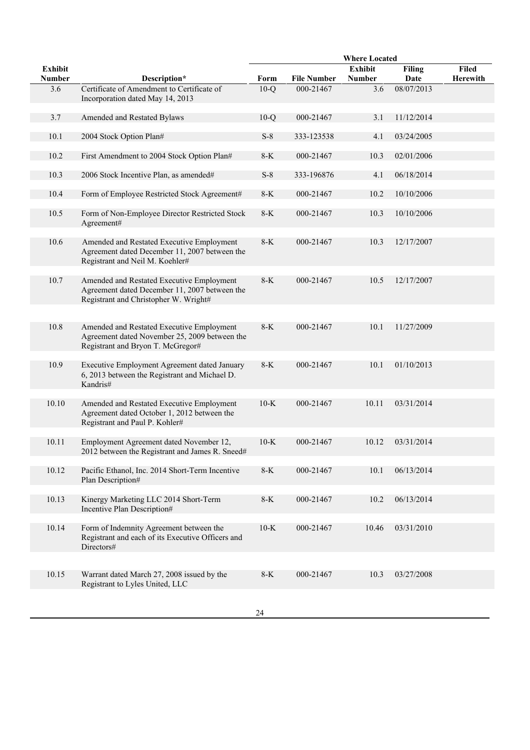|                                 |                                                                                                                                     |        |                    | <b>Where Located</b>            |                       |                          |
|---------------------------------|-------------------------------------------------------------------------------------------------------------------------------------|--------|--------------------|---------------------------------|-----------------------|--------------------------|
| <b>Exhibit</b><br><b>Number</b> | Description*                                                                                                                        | Form   | <b>File Number</b> | <b>Exhibit</b><br><b>Number</b> | <b>Filing</b><br>Date | <b>Filed</b><br>Herewith |
| 3.6                             | Certificate of Amendment to Certificate of<br>Incorporation dated May 14, 2013                                                      | $10-Q$ | 000-21467          | 3.6                             | 08/07/2013            |                          |
| 3.7                             | Amended and Restated Bylaws                                                                                                         | $10-Q$ | 000-21467          | 3.1                             | 11/12/2014            |                          |
| 10.1                            | 2004 Stock Option Plan#                                                                                                             | $S-8$  | 333-123538         | 4.1                             | 03/24/2005            |                          |
| 10.2                            | First Amendment to 2004 Stock Option Plan#                                                                                          | $8-K$  | 000-21467          | 10.3                            | 02/01/2006            |                          |
| 10.3                            | 2006 Stock Incentive Plan, as amended#                                                                                              | $S-8$  | 333-196876         | 4.1                             | 06/18/2014            |                          |
| 10.4                            | Form of Employee Restricted Stock Agreement#                                                                                        | $8-K$  | 000-21467          | 10.2                            | 10/10/2006            |                          |
| 10.5                            | Form of Non-Employee Director Restricted Stock<br>Agreement#                                                                        | $8-K$  | 000-21467          | 10.3                            | 10/10/2006            |                          |
| 10.6                            | Amended and Restated Executive Employment<br>Agreement dated December 11, 2007 between the<br>Registrant and Neil M. Koehler#       | $8-K$  | 000-21467          | 10.3                            | 12/17/2007            |                          |
| 10.7                            | Amended and Restated Executive Employment<br>Agreement dated December 11, 2007 between the<br>Registrant and Christopher W. Wright# | $8-K$  | 000-21467          | 10.5                            | 12/17/2007            |                          |
|                                 |                                                                                                                                     |        |                    |                                 |                       |                          |
| 10.8                            | Amended and Restated Executive Employment<br>Agreement dated November 25, 2009 between the<br>Registrant and Bryon T. McGregor#     | $8-K$  | 000-21467          | 10.1                            | 11/27/2009            |                          |
| 10.9                            | Executive Employment Agreement dated January<br>6, 2013 between the Registrant and Michael D.<br>Kandris#                           | $8-K$  | 000-21467          | 10.1                            | 01/10/2013            |                          |
| 10.10                           | Amended and Restated Executive Employment<br>Agreement dated October 1, 2012 between the<br>Registrant and Paul P. Kohler#          | $10-K$ | 000-21467          | 10.11                           | 03/31/2014            |                          |
| 10.11                           | Employment Agreement dated November 12,<br>2012 between the Registrant and James R. Sneed#                                          | $10-K$ | 000-21467          | 10.12                           | 03/31/2014            |                          |
| 10.12                           | Pacific Ethanol, Inc. 2014 Short-Term Incentive<br>Plan Description#                                                                | $8-K$  | 000-21467          | 10.1                            | 06/13/2014            |                          |
| 10.13                           | Kinergy Marketing LLC 2014 Short-Term<br>Incentive Plan Description#                                                                | $8-K$  | 000-21467          | 10.2                            | 06/13/2014            |                          |
| 10.14                           | Form of Indemnity Agreement between the<br>Registrant and each of its Executive Officers and<br>Directors#                          | $10-K$ | 000-21467          | 10.46                           | 03/31/2010            |                          |
|                                 |                                                                                                                                     |        |                    |                                 |                       |                          |
| 10.15                           | Warrant dated March 27, 2008 issued by the<br>Registrant to Lyles United, LLC                                                       | $8-K$  | 000-21467          | 10.3                            | 03/27/2008            |                          |
|                                 |                                                                                                                                     |        |                    |                                 |                       |                          |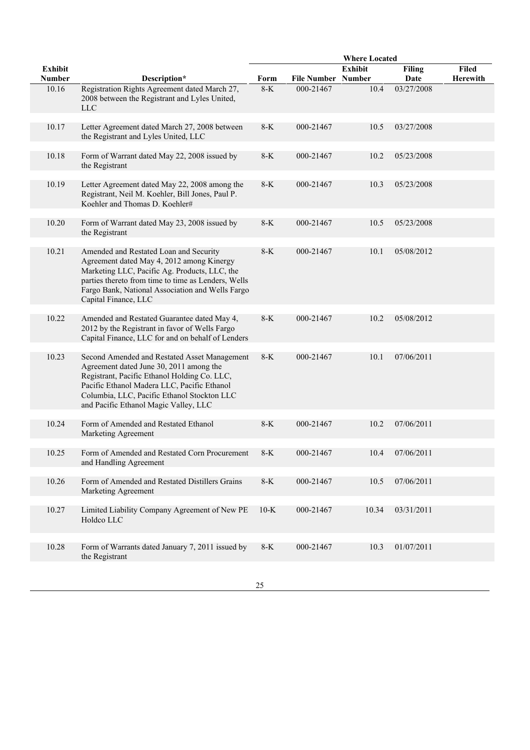|                |                                                                                                                                                                                                                                                                                |         |                    | <b>Where Located</b> |               |              |
|----------------|--------------------------------------------------------------------------------------------------------------------------------------------------------------------------------------------------------------------------------------------------------------------------------|---------|--------------------|----------------------|---------------|--------------|
| <b>Exhibit</b> |                                                                                                                                                                                                                                                                                |         |                    | <b>Exhibit</b>       | <b>Filing</b> | <b>Filed</b> |
| <b>Number</b>  | Description*                                                                                                                                                                                                                                                                   | Form    | <b>File Number</b> | <b>Number</b>        | Date          | Herewith     |
| 10.16          | Registration Rights Agreement dated March 27,<br>2008 between the Registrant and Lyles United,<br><b>LLC</b>                                                                                                                                                                   | $8-K$   | 000-21467          | 10.4                 | 03/27/2008    |              |
| 10.17          | Letter Agreement dated March 27, 2008 between<br>the Registrant and Lyles United, LLC                                                                                                                                                                                          | $8-K$   | 000-21467          | 10.5                 | 03/27/2008    |              |
| 10.18          | Form of Warrant dated May 22, 2008 issued by<br>the Registrant                                                                                                                                                                                                                 | $8-K$   | 000-21467          | 10.2                 | 05/23/2008    |              |
| 10.19          | Letter Agreement dated May 22, 2008 among the<br>Registrant, Neil M. Koehler, Bill Jones, Paul P.<br>Koehler and Thomas D. Koehler#                                                                                                                                            | $8-K$   | 000-21467          | 10.3                 | 05/23/2008    |              |
| 10.20          | Form of Warrant dated May 23, 2008 issued by<br>the Registrant                                                                                                                                                                                                                 | $8-K$   | 000-21467          | 10.5                 | 05/23/2008    |              |
| 10.21          | Amended and Restated Loan and Security<br>Agreement dated May 4, 2012 among Kinergy<br>Marketing LLC, Pacific Ag. Products, LLC, the<br>parties thereto from time to time as Lenders, Wells<br>Fargo Bank, National Association and Wells Fargo<br>Capital Finance, LLC        | $8-K$   | 000-21467          | 10.1                 | 05/08/2012    |              |
|                |                                                                                                                                                                                                                                                                                |         |                    |                      |               |              |
| 10.22          | Amended and Restated Guarantee dated May 4,<br>2012 by the Registrant in favor of Wells Fargo<br>Capital Finance, LLC for and on behalf of Lenders                                                                                                                             | $8-K$   | 000-21467          | 10.2                 | 05/08/2012    |              |
| 10.23          | Second Amended and Restated Asset Management<br>Agreement dated June 30, 2011 among the<br>Registrant, Pacific Ethanol Holding Co. LLC,<br>Pacific Ethanol Madera LLC, Pacific Ethanol<br>Columbia, LLC, Pacific Ethanol Stockton LLC<br>and Pacific Ethanol Magic Valley, LLC | $8-K$   | 000-21467          | 10.1                 | 07/06/2011    |              |
| 10.24          | Form of Amended and Restated Ethanol<br>Marketing Agreement                                                                                                                                                                                                                    | $8-K$   | 000-21467          | 10.2                 | 07/06/2011    |              |
| 10.25          | Form of Amended and Restated Corn Procurement<br>and Handling Agreement                                                                                                                                                                                                        | $8-K$   | 000-21467          | 10.4                 | 07/06/2011    |              |
| 10.26          | Form of Amended and Restated Distillers Grains<br>Marketing Agreement                                                                                                                                                                                                          | $8 - K$ | 000-21467          | 10.5                 | 07/06/2011    |              |
| 10.27          | Limited Liability Company Agreement of New PE<br>Holdco LLC                                                                                                                                                                                                                    | $10-K$  | 000-21467          | 10.34                | 03/31/2011    |              |
|                |                                                                                                                                                                                                                                                                                |         |                    |                      |               |              |
| 10.28          | Form of Warrants dated January 7, 2011 issued by<br>the Registrant                                                                                                                                                                                                             | $8-K$   | 000-21467          | 10.3                 | 01/07/2011    |              |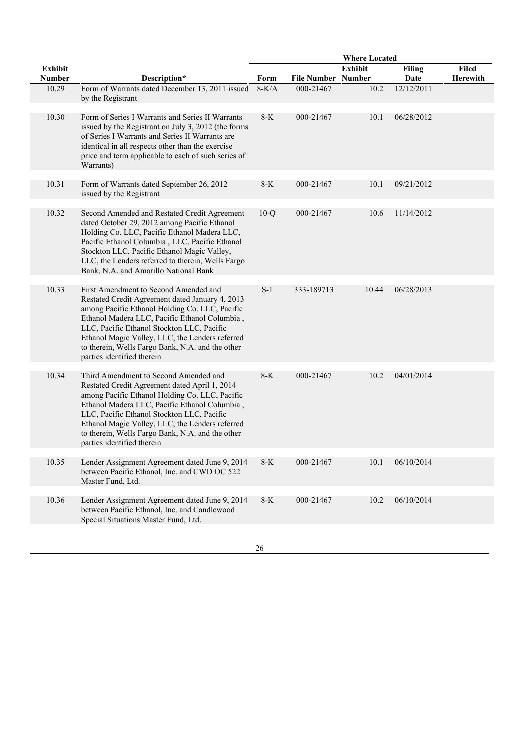|                                 |                                                                                                                                                                                                                                                                                                                                                                                |         |                           | <b>Where Located</b> |                       |                   |
|---------------------------------|--------------------------------------------------------------------------------------------------------------------------------------------------------------------------------------------------------------------------------------------------------------------------------------------------------------------------------------------------------------------------------|---------|---------------------------|----------------------|-----------------------|-------------------|
| <b>Exhibit</b><br><b>Number</b> | Description*                                                                                                                                                                                                                                                                                                                                                                   | Form    | <b>File Number Number</b> | <b>Exhibit</b>       | <b>Filing</b><br>Date | Filed<br>Herewith |
| 10.29                           | Form of Warrants dated December 13, 2011 issued<br>by the Registrant                                                                                                                                                                                                                                                                                                           | $8-K/A$ | 000-21467                 | 10.2                 | 12/12/2011            |                   |
| 10.30                           | Form of Series I Warrants and Series II Warrants<br>issued by the Registrant on July 3, 2012 (the forms<br>of Series I Warrants and Series II Warrants are<br>identical in all respects other than the exercise<br>price and term applicable to each of such series of<br>Warrants)                                                                                            | $8-K$   | 000-21467                 | 10.1                 | 06/28/2012            |                   |
| 10.31                           | Form of Warrants dated September 26, 2012<br>issued by the Registrant                                                                                                                                                                                                                                                                                                          | $8-K$   | 000-21467                 | 10.1                 | 09/21/2012            |                   |
| 10.32                           | Second Amended and Restated Credit Agreement<br>dated October 29, 2012 among Pacific Ethanol<br>Holding Co. LLC, Pacific Ethanol Madera LLC,<br>Pacific Ethanol Columbia, LLC, Pacific Ethanol<br>Stockton LLC, Pacific Ethanol Magic Valley,<br>LLC, the Lenders referred to therein, Wells Fargo<br>Bank, N.A. and Amarillo National Bank                                    | $10-Q$  | 000-21467                 | 10.6                 | 11/14/2012            |                   |
| 10.33                           | First Amendment to Second Amended and<br>Restated Credit Agreement dated January 4, 2013<br>among Pacific Ethanol Holding Co. LLC, Pacific<br>Ethanol Madera LLC, Pacific Ethanol Columbia,<br>LLC, Pacific Ethanol Stockton LLC, Pacific<br>Ethanol Magic Valley, LLC, the Lenders referred<br>to therein, Wells Fargo Bank, N.A. and the other<br>parties identified therein | $S-1$   | 333-189713                | 10.44                | 06/28/2013            |                   |
| 10.34                           | Third Amendment to Second Amended and<br>Restated Credit Agreement dated April 1, 2014<br>among Pacific Ethanol Holding Co. LLC, Pacific<br>Ethanol Madera LLC, Pacific Ethanol Columbia,<br>LLC, Pacific Ethanol Stockton LLC, Pacific<br>Ethanol Magic Valley, LLC, the Lenders referred<br>to therein, Wells Fargo Bank, N.A. and the other<br>parties identified therein   | $8-K$   | 000-21467                 | 10.2                 | 04/01/2014            |                   |
| 10.35                           | Lender Assignment Agreement dated June 9, 2014<br>between Pacific Ethanol, Inc. and CWD OC 522<br>Master Fund, Ltd.                                                                                                                                                                                                                                                            | $8-K$   | 000-21467                 | 10.1                 | 06/10/2014            |                   |
| 10.36                           | Lender Assignment Agreement dated June 9, 2014<br>between Pacific Ethanol, Inc. and Candlewood<br>Special Situations Master Fund, Ltd.                                                                                                                                                                                                                                         | $8 - K$ | 000-21467                 | 10.2                 | 06/10/2014            |                   |
|                                 |                                                                                                                                                                                                                                                                                                                                                                                |         |                           |                      |                       |                   |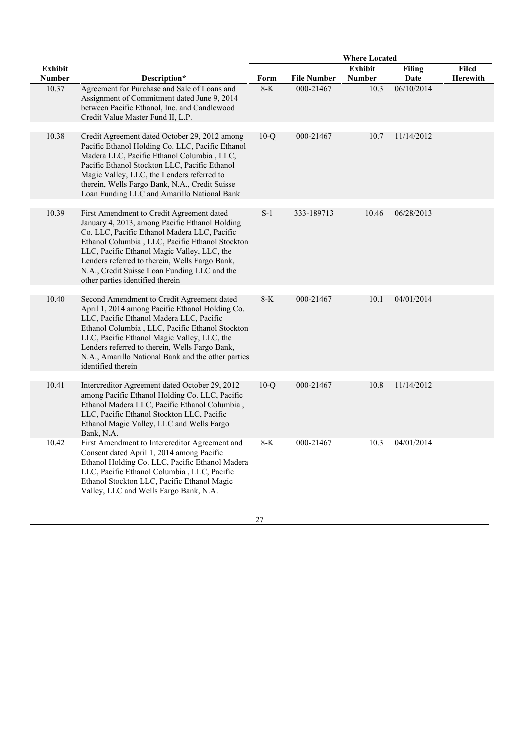|                |                                                                                                                                                                                                                                                                                                                                                                                     |        |                    | <b>Where Located</b> |               |          |
|----------------|-------------------------------------------------------------------------------------------------------------------------------------------------------------------------------------------------------------------------------------------------------------------------------------------------------------------------------------------------------------------------------------|--------|--------------------|----------------------|---------------|----------|
| <b>Exhibit</b> |                                                                                                                                                                                                                                                                                                                                                                                     |        |                    | Exhibit              | <b>Filing</b> | Filed    |
| Number         | Description*                                                                                                                                                                                                                                                                                                                                                                        | Form   | <b>File Number</b> | <b>Number</b>        | Date          | Herewith |
| 10.37          | Agreement for Purchase and Sale of Loans and<br>Assignment of Commitment dated June 9, 2014<br>between Pacific Ethanol, Inc. and Candlewood<br>Credit Value Master Fund II, L.P.                                                                                                                                                                                                    | $8-K$  | 000-21467          | 10.3                 | 06/10/2014    |          |
| 10.38          | Credit Agreement dated October 29, 2012 among<br>Pacific Ethanol Holding Co. LLC, Pacific Ethanol<br>Madera LLC, Pacific Ethanol Columbia, LLC,<br>Pacific Ethanol Stockton LLC, Pacific Ethanol<br>Magic Valley, LLC, the Lenders referred to<br>therein, Wells Fargo Bank, N.A., Credit Suisse<br>Loan Funding LLC and Amarillo National Bank                                     | $10-Q$ | 000-21467          | 10.7                 | 11/14/2012    |          |
| 10.39          | First Amendment to Credit Agreement dated<br>January 4, 2013, among Pacific Ethanol Holding<br>Co. LLC, Pacific Ethanol Madera LLC, Pacific<br>Ethanol Columbia, LLC, Pacific Ethanol Stockton<br>LLC, Pacific Ethanol Magic Valley, LLC, the<br>Lenders referred to therein, Wells Fargo Bank,<br>N.A., Credit Suisse Loan Funding LLC and the<br>other parties identified therein | $S-1$  | 333-189713         | 10.46                | 06/28/2013    |          |
| 10.40          | Second Amendment to Credit Agreement dated<br>April 1, 2014 among Pacific Ethanol Holding Co.<br>LLC, Pacific Ethanol Madera LLC, Pacific<br>Ethanol Columbia, LLC, Pacific Ethanol Stockton<br>LLC, Pacific Ethanol Magic Valley, LLC, the<br>Lenders referred to therein, Wells Fargo Bank,<br>N.A., Amarillo National Bank and the other parties<br>identified therein           | $8-K$  | 000-21467          | 10.1                 | 04/01/2014    |          |
| 10.41          | Intercreditor Agreement dated October 29, 2012<br>among Pacific Ethanol Holding Co. LLC, Pacific<br>Ethanol Madera LLC, Pacific Ethanol Columbia,<br>LLC, Pacific Ethanol Stockton LLC, Pacific<br>Ethanol Magic Valley, LLC and Wells Fargo<br>Bank, N.A.                                                                                                                          | $10-Q$ | 000-21467          | 10.8                 | 11/14/2012    |          |
| 10.42          | First Amendment to Intercreditor Agreement and<br>Consent dated April 1, 2014 among Pacific<br>Ethanol Holding Co. LLC, Pacific Ethanol Madera<br>LLC, Pacific Ethanol Columbia, LLC, Pacific<br>Ethanol Stockton LLC, Pacific Ethanol Magic<br>Valley, LLC and Wells Fargo Bank, N.A.                                                                                              | 8-K    | 000-21467          | 10.3                 | 04/01/2014    |          |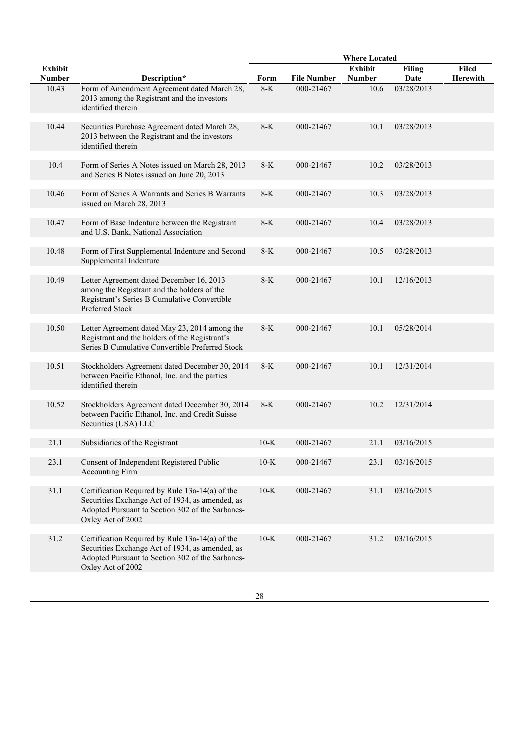|                |                                                                                                                                                                             |        |                    | <b>Where Located</b> |               |              |
|----------------|-----------------------------------------------------------------------------------------------------------------------------------------------------------------------------|--------|--------------------|----------------------|---------------|--------------|
| <b>Exhibit</b> |                                                                                                                                                                             |        |                    | <b>Exhibit</b>       | <b>Filing</b> | <b>Filed</b> |
| <b>Number</b>  | Description*                                                                                                                                                                | Form   | <b>File Number</b> | <b>Number</b>        | Date          | Herewith     |
| 10.43          | Form of Amendment Agreement dated March 28,<br>2013 among the Registrant and the investors<br>identified therein                                                            | $8-K$  | 000-21467          | 10.6                 | 03/28/2013    |              |
| 10.44          | Securities Purchase Agreement dated March 28,<br>2013 between the Registrant and the investors<br>identified therein                                                        | $8-K$  | 000-21467          | 10.1                 | 03/28/2013    |              |
| 10.4           | Form of Series A Notes issued on March 28, 2013<br>and Series B Notes issued on June 20, 2013                                                                               | $8-K$  | 000-21467          | 10.2                 | 03/28/2013    |              |
| 10.46          | Form of Series A Warrants and Series B Warrants<br>issued on March 28, 2013                                                                                                 | $8-K$  | 000-21467          | 10.3                 | 03/28/2013    |              |
| 10.47          | Form of Base Indenture between the Registrant<br>and U.S. Bank, National Association                                                                                        | $8-K$  | 000-21467          | 10.4                 | 03/28/2013    |              |
| 10.48          | Form of First Supplemental Indenture and Second<br>Supplemental Indenture                                                                                                   | $8-K$  | 000-21467          | 10.5                 | 03/28/2013    |              |
| 10.49          | Letter Agreement dated December 16, 2013<br>among the Registrant and the holders of the<br>Registrant's Series B Cumulative Convertible<br>Preferred Stock                  | $8-K$  | 000-21467          | 10.1                 | 12/16/2013    |              |
| 10.50          | Letter Agreement dated May 23, 2014 among the<br>Registrant and the holders of the Registrant's<br>Series B Cumulative Convertible Preferred Stock                          | $8-K$  | 000-21467          | 10.1                 | 05/28/2014    |              |
| 10.51          | Stockholders Agreement dated December 30, 2014<br>between Pacific Ethanol, Inc. and the parties<br>identified therein                                                       | $8-K$  | 000-21467          | 10.1                 | 12/31/2014    |              |
| 10.52          | Stockholders Agreement dated December 30, 2014<br>between Pacific Ethanol, Inc. and Credit Suisse<br>Securities (USA) LLC                                                   | $8-K$  | 000-21467          | 10.2                 | 12/31/2014    |              |
| 21.1           | Subsidiaries of the Registrant                                                                                                                                              | $10-K$ | 000-21467          | 21.1                 | 03/16/2015    |              |
| 23.1           | Consent of Independent Registered Public                                                                                                                                    | $10-K$ | 000-21467          | 23.1                 | 03/16/2015    |              |
|                | <b>Accounting Firm</b>                                                                                                                                                      |        |                    |                      |               |              |
| 31.1           | Certification Required by Rule 13a-14(a) of the<br>Securities Exchange Act of 1934, as amended, as<br>Adopted Pursuant to Section 302 of the Sarbanes-<br>Oxley Act of 2002 | $10-K$ | 000-21467          | 31.1                 | 03/16/2015    |              |
| 31.2           | Certification Required by Rule 13a-14(a) of the<br>Securities Exchange Act of 1934, as amended, as<br>Adopted Pursuant to Section 302 of the Sarbanes-<br>Oxley Act of 2002 | $10-K$ | 000-21467          | 31.2                 | 03/16/2015    |              |
|                |                                                                                                                                                                             |        |                    |                      |               |              |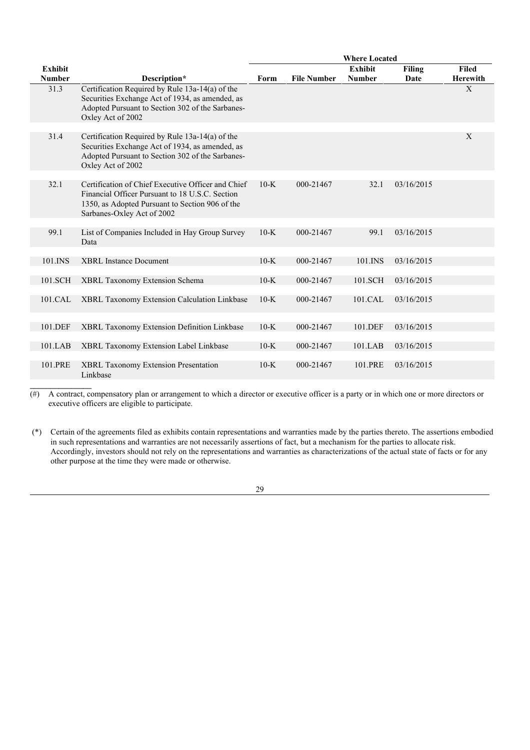|                |                                                                                                                                                                                        |        |                    | <b>Where Located</b> |            |                 |
|----------------|----------------------------------------------------------------------------------------------------------------------------------------------------------------------------------------|--------|--------------------|----------------------|------------|-----------------|
| <b>Exhibit</b> |                                                                                                                                                                                        |        |                    | <b>Exhibit</b>       | Filing     | <b>Filed</b>    |
| <b>Number</b>  | Description*                                                                                                                                                                           | Form   | <b>File Number</b> | <b>Number</b>        | Date       | <b>Herewith</b> |
| 31.3           | Certification Required by Rule 13a-14(a) of the<br>Securities Exchange Act of 1934, as amended, as<br>Adopted Pursuant to Section 302 of the Sarbanes-<br>Oxley Act of 2002            |        |                    |                      |            | X               |
|                |                                                                                                                                                                                        |        |                    |                      |            |                 |
| 31.4           | Certification Required by Rule 13a-14(a) of the<br>Securities Exchange Act of 1934, as amended, as<br>Adopted Pursuant to Section 302 of the Sarbanes-<br>Oxley Act of 2002            |        |                    |                      |            | X               |
|                |                                                                                                                                                                                        |        |                    |                      |            |                 |
| 32.1           | Certification of Chief Executive Officer and Chief<br>Financial Officer Pursuant to 18 U.S.C. Section<br>1350, as Adopted Pursuant to Section 906 of the<br>Sarbanes-Oxley Act of 2002 | $10-K$ | 000-21467          | 32.1                 | 03/16/2015 |                 |
|                |                                                                                                                                                                                        |        |                    |                      |            |                 |
| 99.1           | List of Companies Included in Hay Group Survey<br>Data                                                                                                                                 | $10-K$ | 000-21467          | 99.1                 | 03/16/2015 |                 |
|                |                                                                                                                                                                                        |        |                    |                      |            |                 |
| 101.INS        | <b>XBRL</b> Instance Document                                                                                                                                                          | $10-K$ | 000-21467          | 101.INS              | 03/16/2015 |                 |
| 101.SCH        | XBRL Taxonomy Extension Schema                                                                                                                                                         | $10-K$ | 000-21467          | 101.SCH              | 03/16/2015 |                 |
| 101.CAL        | XBRL Taxonomy Extension Calculation Linkbase                                                                                                                                           | $10-K$ | 000-21467          | 101.CAL              | 03/16/2015 |                 |
|                |                                                                                                                                                                                        |        |                    |                      |            |                 |
| 101.DEF        | XBRL Taxonomy Extension Definition Linkbase                                                                                                                                            | $10-K$ | 000-21467          | 101.DEF              | 03/16/2015 |                 |
| 101.LAB        | XBRL Taxonomy Extension Label Linkbase                                                                                                                                                 | $10-K$ | 000-21467          | 101.LAB              | 03/16/2015 |                 |
|                |                                                                                                                                                                                        |        |                    |                      |            |                 |
| 101.PRE        | <b>XBRL Taxonomy Extension Presentation</b><br>Linkbase                                                                                                                                | $10-K$ | 000-21467          | 101.PRE              | 03/16/2015 |                 |

 $(\#)$  A contract, compensatory plan or arrangement to which a director or executive officer is a party or in which one or more directors or executive officers are eligible to participate.

(\*) Certain of the agreements filed as exhibits contain representations and warranties made by the parties thereto. The assertions embodied in such representations and warranties are not necessarily assertions of fact, but a mechanism for the parties to allocate risk. Accordingly, investors should not rely on the representations and warranties as characterizations of the actual state of facts or for any other purpose at the time they were made or otherwise.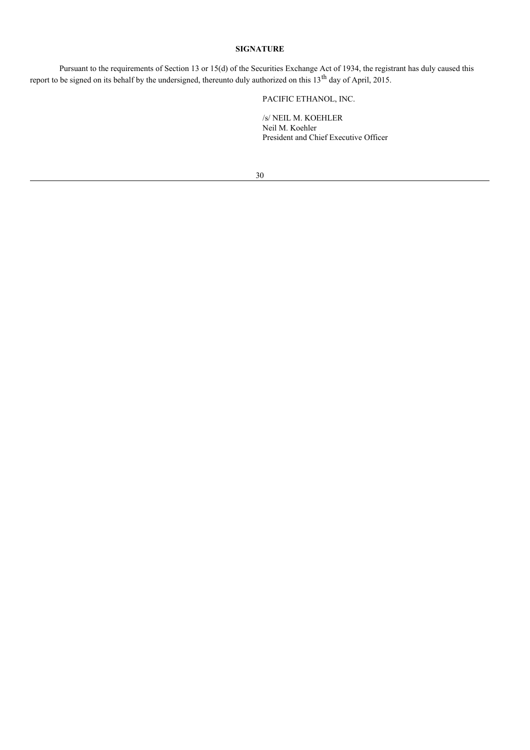## **SIGNATURE**

Pursuant to the requirements of Section 13 or 15(d) of the Securities Exchange Act of 1934, the registrant has duly caused this report to be signed on its behalf by the undersigned, thereunto duly authorized on this  $13<sup>th</sup>$  day of April, 2015.

PACIFIC ETHANOL, INC.

/s/ NEIL M. KOEHLER Neil M. Koehler President and Chief Executive Officer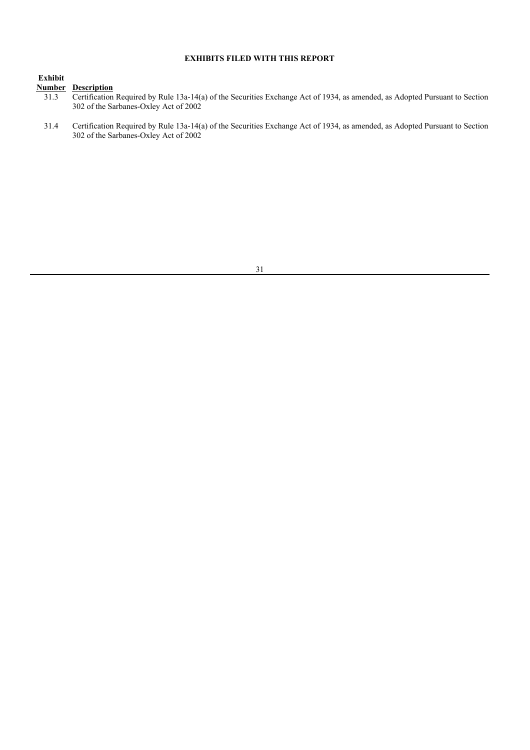## **EXHIBITS FILED WITH THIS REPORT**

## **Exhibit**

## **Number Description**

- <sup>31.3</sup> Certification Required by Rule 13a-14(a) of the Securities Exchange Act of 1934, as amended, as Adopted Pursuant to Section 302 of the Sarbanes-Oxley Act of 2002
- 31.4 Certification Required by Rule 13a-14(a) of the Securities Exchange Act of 1934, as amended, as Adopted Pursuant to Section 302 of the Sarbanes-Oxley Act of 2002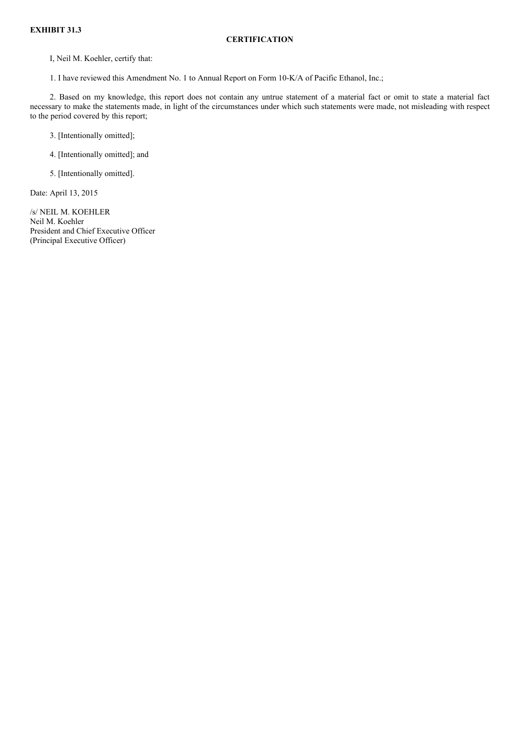## **EXHIBIT 31.3**

## **CERTIFICATION**

I, Neil M. Koehler, certify that:

1. I have reviewed this Amendment No. 1 to Annual Report on Form 10-K/A of Pacific Ethanol, Inc.;

2. Based on my knowledge, this report does not contain any untrue statement of a material fact or omit to state a material fact necessary to make the statements made, in light of the circumstances under which such statements were made, not misleading with respect to the period covered by this report;

3. [Intentionally omitted];

4. [Intentionally omitted]; and

5. [Intentionally omitted].

Date: April 13, 2015

/s/ NEIL M. KOEHLER Neil M. Koehler President and Chief Executive Officer (Principal Executive Officer)